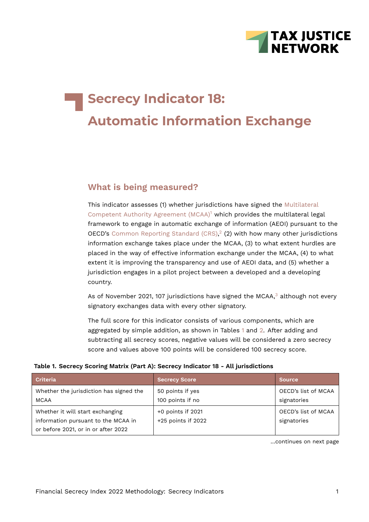

# **Secrecy Indicator 18: Automatic Information Exchange**

## **What is being measured?**

<span id="page-0-2"></span><span id="page-0-1"></span>This indicator assesses (1) whether jurisdictions have signed the [Multilateral](http://www.oecd.org/tax/exchange-of-tax-information/multilateral-competent-authority-agreement.htm) [Competent Authority Agreement \(MCAA\)](http://www.oecd.org/tax/exchange-of-tax-information/multilateral-competent-authority-agreement.htm)<sup>[1](#page-19-0)</sup> which provides the multilateral legal framework to engage in automatic exchange of information (AEOI) pursuant to the OECD's [Common Reporting Standard \(CRS\)](http://www.oecd.org/ctp/exchange-of-tax-information/standard-for-automatic-exchange-of-financial-information-in-tax-matters.htm),<sup>[2](#page-19-1)</sup> (2) with how many other jurisdictions information exchange takes place under the MCAA, (3) to what extent hurdles are placed in the way of effective information exchange under the MCAA, (4) to what extent it is improving the transparency and use of AEOI data, and (5) whether a jurisdiction engages in a pilot project between a developed and a developing country.

As of November 2021, 107 jurisdictions have signed the MCAA, $3$  although not every signatory exchanges data with every other signatory.

<span id="page-0-0"></span>The full score for this indicator consists of various components, which are aggregated by simple addition, as shown in Tables [1](#page-0-0) and [2.](#page-1-0) After adding and subtracting all secrecy scores, negative values will be considered a zero secrecy score and values above 100 points will be considered 100 secrecy score.

#### **Table 1. Secrecy Scoring Matrix (Part A): Secrecy Indicator 18 - All jurisdictions**

| <b>Criteria</b>                                                                                                | <b>Secrecy Score</b>                    | <b>Source</b>                      |
|----------------------------------------------------------------------------------------------------------------|-----------------------------------------|------------------------------------|
| Whether the jurisdiction has signed the<br><b>MCAA</b>                                                         | 50 points if yes<br>100 points if no    | OECD's list of MCAA<br>signatories |
| Whether it will start exchanging<br>information pursuant to the MCAA in<br>or before 2021, or in or after 2022 | +0 points if 2021<br>+25 points if 2022 | OECD's list of MCAA<br>signatories |

<span id="page-0-3"></span>…continues on next page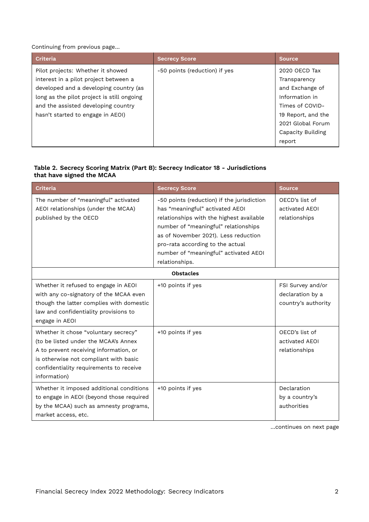Continuing from previous page…

| <b>Criteria</b>                            | <b>Secrecy Score</b>          | <b>Source</b>      |
|--------------------------------------------|-------------------------------|--------------------|
| Pilot projects: Whether it showed          | -50 points (reduction) if yes | 2020 OECD Tax      |
| interest in a pilot project between a      |                               | Transparency       |
| developed and a developing country (as     |                               | and Exchange of    |
| long as the pilot project is still ongoing |                               | Information in     |
| and the assisted developing country        |                               | Times of COVID-    |
| hasn't started to engage in AEOI)          |                               | 19 Report, and the |
|                                            |                               | 2021 Global Forum  |
|                                            |                               | Capacity Building  |
|                                            |                               | report             |

#### <span id="page-1-0"></span>**Table 2. Secrecy Scoring Matrix (Part B): Secrecy Indicator 18 - Jurisdictions that have signed the MCAA**

| <b>Criteria</b>                                                                                                                                                                                                            | <b>Secrecy Score</b>                                                                                                                                                                                                                                                                                     | <b>Source</b>                                                |
|----------------------------------------------------------------------------------------------------------------------------------------------------------------------------------------------------------------------------|----------------------------------------------------------------------------------------------------------------------------------------------------------------------------------------------------------------------------------------------------------------------------------------------------------|--------------------------------------------------------------|
| The number of "meaningful" activated<br>AEOI relationships (under the MCAA)<br>published by the OECD                                                                                                                       | -50 points (reduction) if the jurisdiction<br>has "meaningful" activated AEOI<br>relationships with the highest available<br>number of "meaningful" relationships<br>as of November 2021). Less reduction<br>pro-rata according to the actual<br>number of "meaningful" activated AEOI<br>relationships. | OECD's list of<br>activated AEOI<br>relationships            |
|                                                                                                                                                                                                                            | <b>Obstacles</b>                                                                                                                                                                                                                                                                                         |                                                              |
| Whether it refused to engage in AEOI<br>with any co-signatory of the MCAA even<br>though the latter complies with domestic<br>law and confidentiality provisions to<br>engage in AEOI                                      | +10 points if yes                                                                                                                                                                                                                                                                                        | FSI Survey and/or<br>declaration by a<br>country's authority |
| Whether it chose "voluntary secrecy"<br>(to be listed under the MCAA's Annex<br>A to prevent receiving information, or<br>is otherwise not compliant with basic<br>confidentiality requirements to receive<br>information) | +10 points if yes                                                                                                                                                                                                                                                                                        | OECD's list of<br>activated AEOI<br>relationships            |
| Whether it imposed additional conditions<br>to engage in AEOI (beyond those required<br>by the MCAA) such as amnesty programs,<br>market access, etc.                                                                      | +10 points if yes                                                                                                                                                                                                                                                                                        | Declaration<br>by a country's<br>authorities                 |

…continues on next page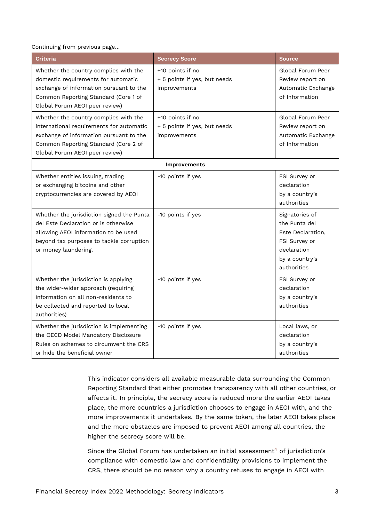Continuing from previous page…

| <b>Criteria</b>                                                                                                                                                                                                                                                                                                | <b>Secrecy Score</b>                                             | <b>Source</b>                                                                                                                                                           |
|----------------------------------------------------------------------------------------------------------------------------------------------------------------------------------------------------------------------------------------------------------------------------------------------------------------|------------------------------------------------------------------|-------------------------------------------------------------------------------------------------------------------------------------------------------------------------|
| Whether the country complies with the<br>domestic requirements for automatic<br>exchange of information pursuant to the<br>Common Reporting Standard (Core 1 of<br>Global Forum AEOI peer review)                                                                                                              | +10 points if no<br>+ 5 points if yes, but needs<br>improvements | Global Forum Peer<br>Review report on<br>Automatic Exchange<br>of Information                                                                                           |
| Whether the country complies with the<br>international requirements for automatic<br>exchange of information pursuant to the<br>Common Reporting Standard (Core 2 of<br>Global Forum AEOI peer review)                                                                                                         | +10 points if no<br>+ 5 points if yes, but needs<br>improvements | Global Forum Peer<br>Review report on<br>Automatic Exchange<br>of Information                                                                                           |
|                                                                                                                                                                                                                                                                                                                | <b>Improvements</b>                                              |                                                                                                                                                                         |
| Whether entities issuing, trading<br>or exchanging bitcoins and other<br>cryptocurrencies are covered by AEOI<br>Whether the jurisdiction signed the Punta<br>del Este Declaration or is otherwise<br>allowing AEOI information to be used<br>beyond tax purposes to tackle corruption<br>or money laundering. | -10 points if yes<br>-10 points if yes                           | FSI Survey or<br>declaration<br>by a country's<br>authorities<br>Signatories of<br>the Punta del<br>Este Declaration,<br>FSI Survey or<br>declaration<br>by a country's |
| Whether the jurisdiction is applying<br>the wider-wider approach (requiring<br>information on all non-residents to<br>be collected and reported to local<br>authorities)                                                                                                                                       | -10 points if yes                                                | authorities<br>FSI Survey or<br>declaration<br>by a country's<br>authorities                                                                                            |
| Whether the jurisdiction is implementing<br>the OECD Model Mandatory Disclosure<br>Rules on schemes to circumvent the CRS<br>or hide the beneficial owner                                                                                                                                                      | -10 points if yes                                                | Local laws, or<br>declaration<br>by a country's<br>authorities                                                                                                          |

This indicator considers all available measurable data surrounding the Common Reporting Standard that either promotes transparency with all other countries, or affects it. In principle, the secrecy score is reduced more the earlier AEOI takes place, the more countries a jurisdiction chooses to engage in AEOI with, and the more improvements it undertakes. By the same token, the later AEOI takes place and the more obstacles are imposed to prevent AEOI among all countries, the higher the secrecy score will be.

<span id="page-2-0"></span>Since the Global Forum has undertaken an initial assessment<sup>[4](#page-19-3)</sup> of jurisdiction's compliance with domestic law and confidentiality provisions to implement the CRS, there should be no reason why a country refuses to engage in AEOI with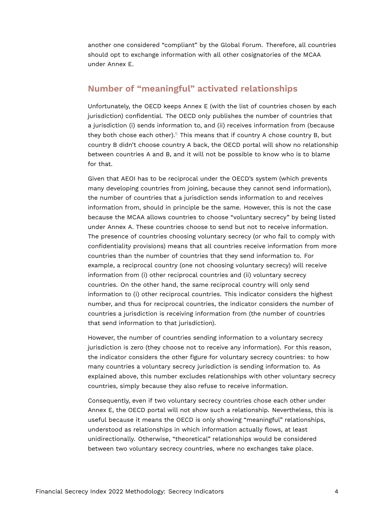another one considered "compliant" by the Global Forum. Therefore, all countries should opt to exchange information with all other cosignatories of the MCAA under Annex E.

## **Number of "meaningful" activated relationships**

<span id="page-3-0"></span>Unfortunately, the OECD keeps Annex E (with the list of countries chosen by each jurisdiction) confidential. The OECD only publishes the number of countries that a jurisdiction (i) sends information to, and (ii) receives information from (because they both chose each other).<sup>[5](#page-19-4)</sup> This means that if country A chose country B, but country B didn't choose country A back, the OECD portal will show no relationship between countries A and B, and it will not be possible to know who is to blame for that.

Given that AEOI has to be reciprocal under the OECD's system (which prevents many developing countries from joining, because they cannot send information), the number of countries that a jurisdiction sends information to and receives information from, should in principle be the same. However, this is not the case because the MCAA allows countries to choose "voluntary secrecy" by being listed under Annex A. These countries choose to send but not to receive information. The presence of countries choosing voluntary secrecy (or who fail to comply with confidentiality provisions) means that all countries receive information from more countries than the number of countries that they send information to. For example, a reciprocal country (one not choosing voluntary secrecy) will receive information from (i) other reciprocal countries and (ii) voluntary secrecy countries. On the other hand, the same reciprocal country will only send information to (i) other reciprocal countries. This indicator considers the highest number, and thus for reciprocal countries, the indicator considers the number of countries a jurisdiction is receiving information from (the number of countries that send information to that jurisdiction).

However, the number of countries sending information to a voluntary secrecy jurisdiction is zero (they choose not to receive any information). For this reason, the indicator considers the other figure for voluntary secrecy countries: to how many countries a voluntary secrecy jurisdiction is sending information to. As explained above, this number excludes relationships with other voluntary secrecy countries, simply because they also refuse to receive information.

Consequently, even if two voluntary secrecy countries chose each other under Annex E, the OECD portal will not show such a relationship. Nevertheless, this is useful because it means the OECD is only showing "meaningful" relationships, understood as relationships in which information actually flows, at least unidirectionally. Otherwise, "theoretical" relationships would be considered between two voluntary secrecy countries, where no exchanges take place.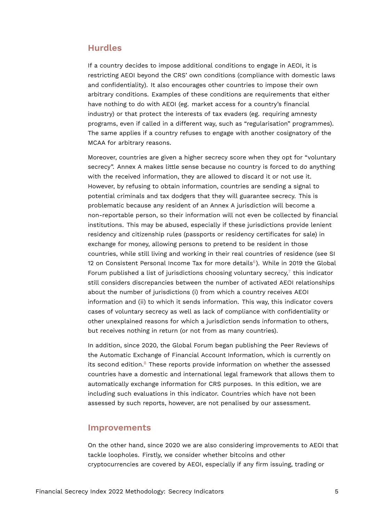## **Hurdles**

If a country decides to impose additional conditions to engage in AEOI, it is restricting AEOI beyond the CRS' own conditions (compliance with domestic laws and confidentiality). It also encourages other countries to impose their own arbitrary conditions. Examples of these conditions are requirements that either have nothing to do with AEOI (eg. market access for a country's financial industry) or that protect the interests of tax evaders (eg. requiring amnesty programs, even if called in a different way, such as "regularisation" programmes). The same applies if a country refuses to engage with another cosignatory of the MCAA for arbitrary reasons.

Moreover, countries are given a higher secrecy score when they opt for "voluntary secrecy". Annex A makes little sense because no country is forced to do anything with the received information, they are allowed to discard it or not use it. However, by refusing to obtain information, countries are sending a signal to potential criminals and tax dodgers that they will guarantee secrecy. This is problematic because any resident of an Annex A jurisdiction will become a non-reportable person, so their information will not even be collected by financial institutions. This may be abused, especially if these jurisdictions provide lenient residency and citizenship rules (passports or residency certificates for sale) in exchange for money, allowing persons to pretend to be resident in those countries, while still living and working in their real countries of residence (see SI 12 on Consistent Personal Income Tax for more details $6$ ). While in 2019 the Global Forum published a list of jurisdictions choosing voluntary secrecy, $7$  this indicator still considers discrepancies between the number of activated AEOI relationships about the number of jurisdictions (i) from which a country receives AEOI information and (ii) to which it sends information. This way, this indicator covers cases of voluntary secrecy as well as lack of compliance with confidentiality or other unexplained reasons for which a jurisdiction sends information to others, but receives nothing in return (or not from as many countries).

<span id="page-4-2"></span><span id="page-4-1"></span><span id="page-4-0"></span>In addition, since 2020, the Global Forum began publishing the Peer Reviews of the Automatic Exchange of Financial Account Information, which is currently on its second edition. $8$  These reports provide information on whether the assessed countries have a domestic and international legal framework that allows them to automatically exchange information for CRS purposes. In this edition, we are including such evaluations in this indicator. Countries which have not been assessed by such reports, however, are not penalised by our assessment.

#### **Improvements**

On the other hand, since 2020 we are also considering improvements to AEOI that tackle loopholes. Firstly, we consider whether bitcoins and other cryptocurrencies are covered by AEOI, especially if any firm issuing, trading or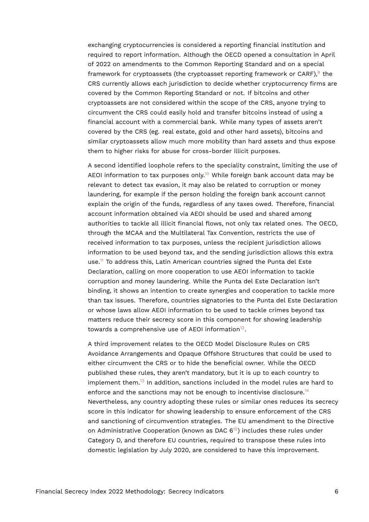<span id="page-5-0"></span>exchanging cryptocurrencies is considered a reporting financial institution and required to report information. Although the OECD opened a consultation in April of 2022 on amendments to the Common Reporting Standard and on a special framework for cryptoassets (the cryptoasset reporting framework or CARF), $^{\circ}$  the CRS currently allows each jurisdiction to decide whether cryptocurrency firms are covered by the Common Reporting Standard or not. If bitcoins and other cryptoassets are not considered within the scope of the CRS, anyone trying to circumvent the CRS could easily hold and transfer bitcoins instead of using a financial account with a commercial bank. While many types of assets aren't covered by the CRS (eg. real estate, gold and other hard assets), bitcoins and similar cryptoassets allow much more mobility than hard assets and thus expose them to higher risks for abuse for cross-border illicit purposes.

<span id="page-5-1"></span>A second identified loophole refers to the speciality constraint, limiting the use of AEOI information to tax purposes only.<sup>[10](#page-19-9)</sup> While foreign bank account data may be relevant to detect tax evasion, it may also be related to corruption or money laundering, for example if the person holding the foreign bank account cannot explain the origin of the funds, regardless of any taxes owed. Therefore, financial account information obtained via AEOI should be used and shared among authorities to tackle all illicit financial flows, not only tax related ones. The OECD, through the MCAA and the Multilateral Tax Convention, restricts the use of received information to tax purposes, unless the recipient jurisdiction allows information to be used beyond tax, and the sending jurisdiction allows this extra use.[11](#page-20-0) To address this, Latin American countries signed the Punta del Este Declaration, calling on more cooperation to use AEOI information to tackle corruption and money laundering. While the Punta del Este Declaration isn't binding, it shows an intention to create synergies and cooperation to tackle more than tax issues. Therefore, countries signatories to the Punta del Este Declaration or whose laws allow AEOI information to be used to tackle crimes beyond tax matters reduce their secrecy score in this component for showing leadership towards a comprehensive use of AEOI information $12$ .

<span id="page-5-6"></span><span id="page-5-5"></span><span id="page-5-4"></span><span id="page-5-3"></span><span id="page-5-2"></span>A third improvement relates to the OECD Model Disclosure Rules on CRS Avoidance Arrangements and Opaque Offshore Structures that could be used to either circumvent the CRS or to hide the beneficial owner. While the OECD published these rules, they aren't mandatory, but it is up to each country to implement them.[13](#page-20-2) In addition, sanctions included in the model rules are hard to enforce and the sanctions may not be enough to incentivise disclosure.<sup>[14](#page-20-3)</sup> Nevertheless, any country adopting these rules or similar ones reduces its secrecy score in this indicator for showing leadership to ensure enforcement of the CRS and sanctioning of circumvention strategies. The EU amendment to the Directive on Administrative Cooperation (known as DAC  $6^{15}$  $6^{15}$  $6^{15}$ ) includes these rules under Category D, and therefore EU countries, required to transpose these rules into domestic legislation by July 2020, are considered to have this improvement.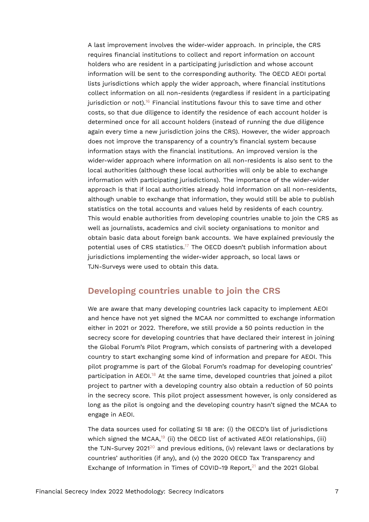<span id="page-6-0"></span>A last improvement involves the wider-wider approach. In principle, the CRS requires financial institutions to collect and report information on account holders who are resident in a participating jurisdiction and whose account information will be sent to the corresponding authority. The OECD AEOI portal lists jurisdictions which apply the wider approach, where financial institutions collect information on all non-residents (regardless if resident in a participating jurisdiction or not).<sup>[16](#page-20-5)</sup> Financial institutions favour this to save time and other costs, so that due diligence to identify the residence of each account holder is determined once for all account holders (instead of running the due diligence again every time a new jurisdiction joins the CRS). However, the wider approach does not improve the transparency of a country's financial system because information stays with the financial institutions. An improved version is the wider-wider approach where information on all non-residents is also sent to the local authorities (although these local authorities will only be able to exchange information with participating jurisdictions). The importance of the wider-wider approach is that if local authorities already hold information on all non-residents, although unable to exchange that information, they would still be able to publish statistics on the total accounts and values held by residents of each country. This would enable authorities from developing countries unable to join the CRS as well as journalists, academics and civil society organisations to monitor and obtain basic data about foreign bank accounts. We have explained previously the potential uses of CRS statistics.<sup>[17](#page-20-6)</sup> The OECD doesn't publish information about jurisdictions implementing the wider-wider approach, so local laws or TJN-Surveys were used to obtain this data.

## <span id="page-6-1"></span>**Developing countries unable to join the CRS**

We are aware that many developing countries lack capacity to implement AEOI and hence have not yet signed the MCAA nor committed to exchange information either in 2021 or 2022. Therefore, we still provide a 50 points reduction in the secrecy score for developing countries that have declared their interest in joining the Global Forum's Pilot Program, which consists of partnering with a developed country to start exchanging some kind of information and prepare for AEOI. This pilot programme is part of the Global Forum's roadmap for developing countries' participation in AEOI.<sup>[18](#page-21-0)</sup> At the same time, developed countries that joined a pilot project to partner with a developing country also obtain a reduction of 50 points in the secrecy score. This pilot project assessment however, is only considered as long as the pilot is ongoing and the developing country hasn't signed the MCAA to engage in AEOI.

<span id="page-6-5"></span><span id="page-6-4"></span><span id="page-6-3"></span><span id="page-6-2"></span>The data sources used for collating SI 18 are: (i) the OECD's list of jurisdictions which signed the MCAA,<sup>[19](#page-21-1)</sup> (ii) the OECD list of activated AEOI relationships, (iii) the TJN-Survey [20](#page-21-2)21<sup>20</sup> and previous editions, (iv) relevant laws or declarations by countries' authorities (if any), and (v) the 2020 OECD Tax Transparency and Exchange of Information in Times of COVID-19 Report, $^{21}$  $^{21}$  $^{21}$  and the 2021 Global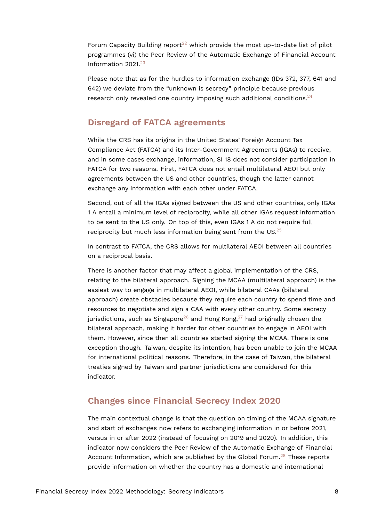<span id="page-7-0"></span>Forum Capacity Building report<sup>[22](#page-21-4)</sup> which provide the most up-to-date list of pilot programmes (vi) the Peer Review of the Automatic Exchange of Financial Account Information 2021.[23](#page-21-5)

<span id="page-7-1"></span>Please note that as for the hurdles to information exchange (IDs 372, 377, 641 and 642) we deviate from the "unknown is secrecy" principle because previous research only revealed one country imposing such additional conditions.<sup>[24](#page-21-6)</sup>

## <span id="page-7-2"></span>**Disregard of FATCA agreements**

While the CRS has its origins in the United States' Foreign Account Tax Compliance Act (FATCA) and its Inter-Government Agreements (IGAs) to receive, and in some cases exchange, information, SI 18 does not consider participation in FATCA for two reasons. First, FATCA does not entail multilateral AEOI but only agreements between the US and other countries, though the latter cannot exchange any information with each other under FATCA.

Second, out of all the IGAs signed between the US and other countries, only IGAs 1 A entail a minimum level of reciprocity, while all other IGAs request information to be sent to the US only. On top of this, even IGAs 1 A do not require full reciprocity but much less information being sent from the US. $25$ 

<span id="page-7-3"></span>In contrast to FATCA, the CRS allows for multilateral AEOI between all countries on a reciprocal basis.

<span id="page-7-5"></span><span id="page-7-4"></span>There is another factor that may affect a global implementation of the CRS, relating to the bilateral approach. Signing the MCAA (multilateral approach) is the easiest way to engage in multilateral AEOI, while bilateral CAAs (bilateral approach) create obstacles because they require each country to spend time and resources to negotiate and sign a CAA with every other country. Some secrecy jurisdictions, such as Singapore<sup>[26](#page-21-8)</sup> and Hong Kong,<sup>[27](#page-21-9)</sup> had originally chosen the bilateral approach, making it harder for other countries to engage in AEOI with them. However, since then all countries started signing the MCAA. There is one exception though. Taiwan, despite its intention, has been unable to join the MCAA for international political reasons. Therefore, in the case of Taiwan, the bilateral treaties signed by Taiwan and partner jurisdictions are considered for this indicator.

## **Changes since Financial Secrecy Index 2020**

<span id="page-7-6"></span>The main contextual change is that the question on timing of the MCAA signature and start of exchanges now refers to exchanging information in or before 2021, versus in or after 2022 (instead of focusing on 2019 and 2020). In addition, this indicator now considers the Peer Review of the Automatic Exchange of Financial Account Information, which are published by the Global Forum.<sup>[28](#page-21-10)</sup> These reports provide information on whether the country has a domestic and international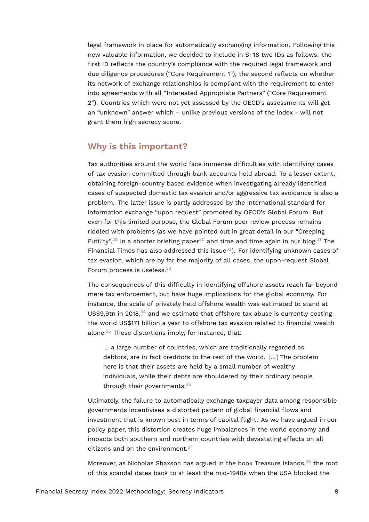legal framework in place for automatically exchanging information. Following this new valuable information, we decided to include in SI 18 two IDs as follows: the first ID reflects the country's compliance with the required legal framework and due diligence procedures ("Core Requirement 1"); the second reflects on whether its network of exchange relationships is compliant with the requirement to enter into agreements with all "Interested Appropriate Partners" ("Core Requirement 2"). Countries which were not yet assessed by the OECD's assessments will get an "unknown" answer which – unlike previous versions of the index - will not grant them high secrecy score.

## **Why is this important?**

Tax authorities around the world face immense difficulties with identifying cases of tax evasion committed through bank accounts held abroad. To a lesser extent, obtaining foreign-country based evidence when investigating already identified cases of suspected domestic tax evasion and/or aggressive tax avoidance is also a problem. The latter issue is partly addressed by the international standard for information exchange "upon request" promoted by OECD's Global Forum. But even for this limited purpose, the Global Forum peer review process remains riddled with problems (as we have pointed out in great detail in our "Creeping Futility",<sup>[29](#page-21-11)</sup> in a shorter briefing paper<sup>[30](#page-22-0)</sup> and time and time again in our blog.<sup>[31](#page-22-1)</sup> The Financial Times has also addressed this issue $32$ ). For identifying unknown cases of tax evasion, which are by far the majority of all cases, the upon-request Global Forum process is useless.<sup>[33](#page-22-3)</sup>

<span id="page-8-4"></span><span id="page-8-3"></span><span id="page-8-2"></span><span id="page-8-1"></span><span id="page-8-0"></span>The consequences of this difficulty in identifying offshore assets reach far beyond mere tax enforcement, but have huge implications for the global economy. For instance, the scale of privately held offshore wealth was estimated to stand at US\$9,9tn in 2018, $34$  and we estimate that offshore tax abuse is currently costing the world US\$171 billion a year to offshore tax evasion related to financial wealth alone.[35](#page-22-5) These distortions imply, for instance, that:

<span id="page-8-7"></span><span id="page-8-6"></span><span id="page-8-5"></span>... a large number of countries, which are traditionally regarded as debtors, are in fact creditors to the rest of the world. […] The problem here is that their assets are held by a small number of wealthy individuals, while their debts are shouldered by their ordinary people through their governments.[36](#page-22-6)

Ultimately, the failure to automatically exchange taxpayer data among responsible governments incentivises a distorted pattern of global financial flows and investment that is known best in terms of capital flight. As we have argued in our policy paper, this distortion creates huge imbalances in the world economy and impacts both southern and northern countries with devastating effects on all citizens and on the environment. $37$ 

<span id="page-8-9"></span><span id="page-8-8"></span>Moreover, as Nicholas Shaxson has argued in the book Treasure Islands.<sup>[38](#page-22-8)</sup> the root of this scandal dates back to at least the mid-1940s when the USA blocked the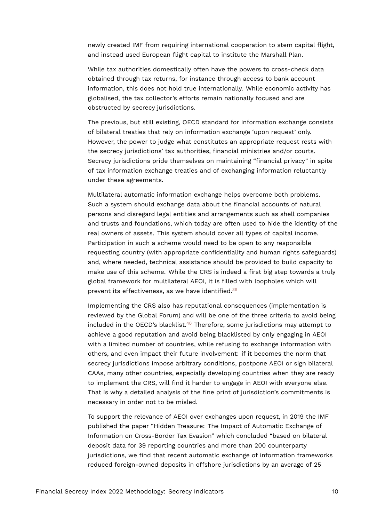newly created IMF from requiring international cooperation to stem capital flight, and instead used European flight capital to institute the Marshall Plan.

While tax authorities domestically often have the powers to cross-check data obtained through tax returns, for instance through access to bank account information, this does not hold true internationally. While economic activity has globalised, the tax collector's efforts remain nationally focused and are obstructed by secrecy jurisdictions.

The previous, but still existing, OECD standard for information exchange consists of bilateral treaties that rely on information exchange 'upon request' only. However, the power to judge what constitutes an appropriate request rests with the secrecy jurisdictions' tax authorities, financial ministries and/or courts. Secrecy jurisdictions pride themselves on maintaining "financial privacy" in spite of tax information exchange treaties and of exchanging information reluctantly under these agreements.

Multilateral automatic information exchange helps overcome both problems. Such a system should exchange data about the financial accounts of natural persons and disregard legal entities and arrangements such as shell companies and trusts and foundations, which today are often used to hide the identity of the real owners of assets. This system should cover all types of capital income. Participation in such a scheme would need to be open to any responsible requesting country (with appropriate confidentiality and human rights safeguards) and, where needed, technical assistance should be provided to build capacity to make use of this scheme. While the CRS is indeed a first big step towards a truly global framework for multilateral AEOI, it is filled with loopholes which will prevent its effectiveness, as we have identified.[39](#page-22-9)

<span id="page-9-1"></span><span id="page-9-0"></span>Implementing the CRS also has reputational consequences (implementation is reviewed by the Global Forum) and will be one of the three criteria to avoid being included in the OECD's blacklist.<sup>[40](#page-22-10)</sup> Therefore, some jurisdictions may attempt to achieve a good reputation and avoid being blacklisted by only engaging in AEOI with a limited number of countries, while refusing to exchange information with others, and even impact their future involvement: if it becomes the norm that secrecy jurisdictions impose arbitrary conditions, postpone AEOI or sign bilateral CAAs, many other countries, especially developing countries when they are ready to implement the CRS, will find it harder to engage in AEOI with everyone else. That is why a detailed analysis of the fine print of jurisdiction's commitments is necessary in order not to be misled.

To support the relevance of AEOI over exchanges upon request, in 2019 the IMF published the paper "Hidden Treasure: The Impact of Automatic Exchange of Information on Cross-Border Tax Evasion" which concluded "based on bilateral deposit data for 39 reporting countries and more than 200 counterparty jurisdictions, we find that recent automatic exchange of information frameworks reduced foreign-owned deposits in offshore jurisdictions by an average of 25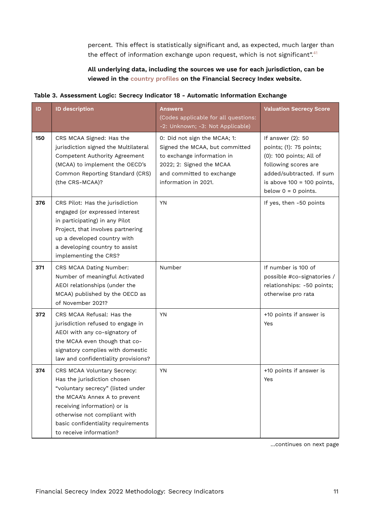<span id="page-10-0"></span>percent. This effect is statistically significant and, as expected, much larger than the effect of information exchange upon request, which is not significant".<sup>[41](#page-22-11)</sup>

#### **All underlying data, including the sources we use for each jurisdiction, can be viewed in the [country profiles](https://fsi.taxjustice.net/country-detail) on the Financial Secrecy Index website.**

| Table 3. Assessment Logic: Secrecy Indicator 18 - Automatic Information Exchange |  |  |  |
|----------------------------------------------------------------------------------|--|--|--|
|                                                                                  |  |  |  |

| ID  | <b>ID description</b>                                                                                                                                                                                                                                             | <b>Answers</b><br>(Codes applicable for all questions:<br>-2: Unknown; -3: Not Applicable)                                                                                    | <b>Valuation Secrecy Score</b>                                                                                                                                                       |
|-----|-------------------------------------------------------------------------------------------------------------------------------------------------------------------------------------------------------------------------------------------------------------------|-------------------------------------------------------------------------------------------------------------------------------------------------------------------------------|--------------------------------------------------------------------------------------------------------------------------------------------------------------------------------------|
| 150 | CRS MCAA Signed: Has the<br>jurisdiction signed the Multilateral<br>Competent Authority Agreement<br>(MCAA) to implement the OECD's<br>Common Reporting Standard (CRS)<br>(the CRS-MCAA)?                                                                         | 0: Did not sign the MCAA; 1:<br>Signed the MCAA, but committed<br>to exchange information in<br>2022; 2: Signed the MCAA<br>and committed to exchange<br>information in 2021. | If answer (2): 50<br>points; (1): 75 points;<br>(0): 100 points; All of<br>following scores are<br>added/subtracted. If sum<br>is above $100 = 100$ points,<br>below $0 = 0$ points. |
| 376 | CRS Pilot: Has the jurisdiction<br>engaged (or expressed interest<br>in participating) in any Pilot<br>Project, that involves partnering<br>up a developed country with<br>a developing country to assist<br>implementing the CRS?                                | <b>YN</b>                                                                                                                                                                     | If yes, then -50 points                                                                                                                                                              |
| 371 | CRS MCAA Dating Number:<br>Number of meaningful Activated<br>AEOI relationships (under the<br>MCAA) published by the OECD as<br>of November 2021?                                                                                                                 | Number                                                                                                                                                                        | If number is 100 of<br>possible #co-signatories /<br>relationships: -50 points;<br>otherwise pro rata                                                                                |
| 372 | CRS MCAA Refusal: Has the<br>jurisdiction refused to engage in<br>AEOI with any co-signatory of<br>the MCAA even though that co-<br>signatory complies with domestic<br>law and confidentiality provisions?                                                       | <b>YN</b>                                                                                                                                                                     | +10 points if answer is<br>Yes                                                                                                                                                       |
| 374 | CRS MCAA Voluntary Secrecy:<br>Has the jurisdiction chosen<br>"voluntary secrecy" (listed under<br>the MCAA's Annex A to prevent<br>receiving information) or is<br>otherwise not compliant with<br>basic confidentiality requirements<br>to receive information? | YN                                                                                                                                                                            | +10 points if answer is<br>Yes                                                                                                                                                       |

…continues on next page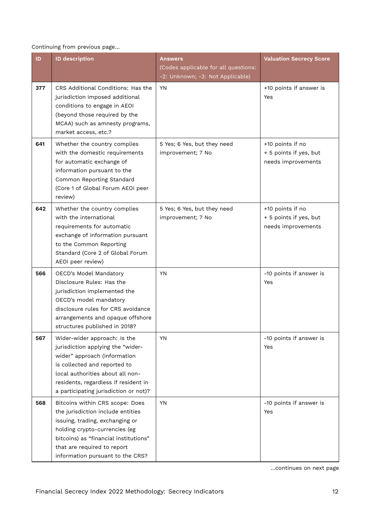Continuing from previous page…

| ID  | <b>ID description</b>                                                                                                                                                                                                                                  | <b>Answers</b>                                                           | <b>Valuation Secrecy Score</b>                                   |
|-----|--------------------------------------------------------------------------------------------------------------------------------------------------------------------------------------------------------------------------------------------------------|--------------------------------------------------------------------------|------------------------------------------------------------------|
|     |                                                                                                                                                                                                                                                        | (Codes applicable for all questions:<br>-2: Unknown; -3: Not Applicable) |                                                                  |
| 377 | CRS Additional Conditions: Has the<br>jurisdiction imposed additional<br>conditions to engage in AEOI<br>(beyond those required by the<br>MCAA) such as amnesty programs,<br>market access, etc.?                                                      | <b>YN</b>                                                                | +10 points if answer is<br>Yes                                   |
| 641 | Whether the country complies<br>with the domestic requirements<br>for automatic exchange of<br>information pursuant to the<br>Common Reporting Standard<br>(Core 1 of Global Forum AEOI peer<br>review)                                                | 5 Yes; 6 Yes, but they need<br>improvement; 7 No                         | +10 points if no<br>+ 5 points if yes, but<br>needs improvements |
| 642 | Whether the country complies<br>with the international<br>requirements for automatic<br>exchange of information pursuant<br>to the Common Reporting<br>Standard (Core 2 of Global Forum<br>AEOI peer review)                                           | 5 Yes; 6 Yes, but they need<br>improvement; 7 No                         | +10 points if no<br>+ 5 points if yes, but<br>needs improvements |
| 566 | OECD's Model Mandatory<br>Disclosure Rules: Has the<br>jurisdiction implemented the<br>OECD's model mandatory<br>disclosure rules for CRS avoidance<br>arrangements and opaque offshore<br>structures published in 2018?                               | <b>YN</b>                                                                | -10 points if answer is<br>Yes                                   |
| 567 | Wider-wider approach: Is the<br>jurisdiction applying the "wider-<br>wider" approach (information<br>is collected and reported to<br>local authorities about all non-<br>residents, regardless if resident in<br>a participating jurisdiction or not)? | <b>YN</b>                                                                | -10 points if answer is<br>Yes                                   |
| 568 | Bitcoins within CRS scope: Does<br>the jurisdiction include entities<br>issuing, trading, exchanging or<br>holding crypto-currencies (eg<br>bitcoins) as "financial institutions"<br>that are required to report<br>information pursuant to the CRS?   | <b>YN</b>                                                                | -10 points if answer is<br>Yes                                   |

…continues on next page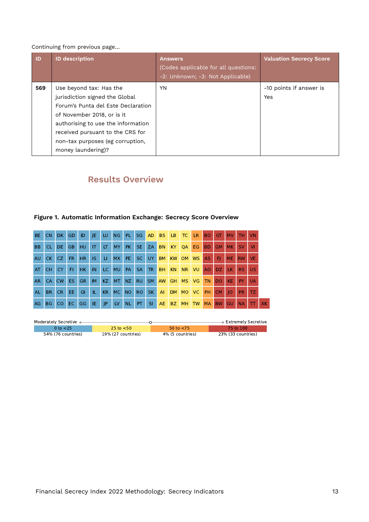#### Continuing from previous page…

| <b>ID</b> | <b>ID description</b>                                                                                                                                                                                                                                             | <b>Answers</b><br>(Codes applicable for all questions:<br>-2: Unknown; -3: Not Applicable) | <b>Valuation Secrecy Score</b> |
|-----------|-------------------------------------------------------------------------------------------------------------------------------------------------------------------------------------------------------------------------------------------------------------------|--------------------------------------------------------------------------------------------|--------------------------------|
| 569       | Use beyond tax: Has the<br>jurisdiction signed the Global<br>Forum's Punta del Este Declaration<br>of November 2018, or is it<br>authorising to use the information<br>received pursuant to the CRS for<br>non-tax purposes (eg corruption,<br>money laundering)? | YN                                                                                         | -10 points if answer is<br>Yes |

## **Results Overview**

## **Figure 1. Automatic Information Exchange: Secrecy Score Overview**

| <b>BE</b> | CN        | DK.       | <b>GD</b> | ID        | JE.          | LU. | <b>NG</b> | PL.       | SG <sub>1</sub> | AD        | <b>BS</b> | LB.       | TC        | LR.       | <b>BO</b>      | GT        | <b>MV</b> | <b>TH</b> | <b>VN</b> |     |
|-----------|-----------|-----------|-----------|-----------|--------------|-----|-----------|-----------|-----------------|-----------|-----------|-----------|-----------|-----------|----------------|-----------|-----------|-----------|-----------|-----|
| <b>BB</b> | CL        | DE.       | <b>GB</b> | HU        | $\mathsf{I}$ | LT. | <b>MY</b> | PK.       | SE.             | ZA        | <b>BN</b> | KY.       | QA        | EG        | <b>BD</b>      | <b>GM</b> | MK.       | <b>SV</b> | <b>VI</b> |     |
| AU        | CK.       | CZ.       | FR.       | <b>HR</b> | <b>IS</b>    | U.  | <b>MX</b> | PE.       | SC.             | UY        | <b>BM</b> | <b>KW</b> | <b>OM</b> | <b>WS</b> | AS.            | F1        | <b>ME</b> | <b>RW</b> | VE.       |     |
| AT        | <b>CH</b> | <b>CY</b> | FI        | <b>HK</b> | IN           | LC. | <b>MU</b> | <b>PA</b> | SA              | TR        | <b>BH</b> | <b>KN</b> | <b>NR</b> | VU        | A <sub>O</sub> | DZ.       | <b>LK</b> | RS.       | <b>US</b> |     |
| AR.       | CA        | <b>CW</b> | ES.       | <b>GR</b> | <b>IM</b>    | KZ. | <b>MT</b> | NZ.       | <b>RU</b>       | SM I      | AW        | GH        | <b>MS</b> | <b>VG</b> | <b>TN</b>      | DO        | KE.       | PY.       | <b>UA</b> |     |
| <b>AL</b> | BR.       | CR.       | EE.       | GI        | IL.          | KR. | <b>MC</b> | <b>NO</b> | RO.             | <b>SK</b> | AI        | DM        | <b>MO</b> | VC.       | <b>PH</b>      | <b>CM</b> | 10        | PR.       | TZ.       |     |
| AG        | BG        | CO.       | EC.       | GG        | IE.          | JP  | LV        | <b>NL</b> | PT.             | -SI       | <b>AE</b> | BZ        | <b>MH</b> | <b>TW</b> | <b>MA</b>      | <b>BW</b> | GU        | <b>NA</b> |           | XK. |

| Moderately Secretive < |                       |                  | → Extremely Secretive |
|------------------------|-----------------------|------------------|-----------------------|
| 0 to $<$ 25            | $25 \text{ to } < 50$ | 50 to $<$ 75     | 75 to 100             |
| 54% (76 countries)     | 19% (27 countries)    | 4% (5 countries) | 23% (33 countries)    |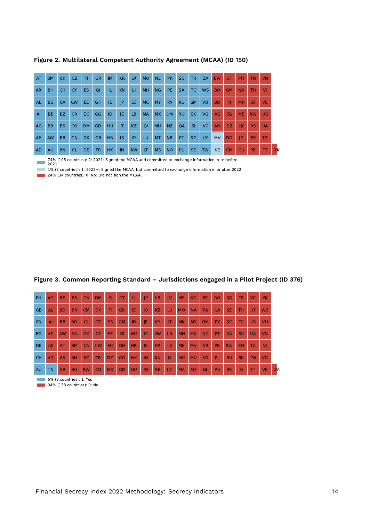| AT        | <b>BM</b>      | <b>CK</b> | CZ.       | FI.       | <b>GR</b> | <b>IM</b> | KR        | <b>LR</b> | <b>MO</b> | <b>NL</b> | PK.       | <b>SC</b> | <b>TR</b> | <b>ZA</b> | <b>BW</b> | GT        | <b>PH</b> | <b>TN</b> | <b>VN</b> |    |
|-----------|----------------|-----------|-----------|-----------|-----------|-----------|-----------|-----------|-----------|-----------|-----------|-----------|-----------|-----------|-----------|-----------|-----------|-----------|-----------|----|
| <b>AR</b> | <b>BH</b>      | <b>CH</b> | <b>CY</b> | <b>ES</b> | GI        | TE.       | <b>KN</b> | П         | <b>MH</b> | NG        | PE.       | <b>SA</b> | TC.       | <b>WS</b> | <b>BO</b> | <b>GM</b> | <b>NA</b> | <b>TH</b> | <b>VI</b> |    |
| <b>AL</b> | <b>BG</b>      | CA        | <b>CW</b> | EE.       | <b>GH</b> | IE.       | P         | LC.       | <b>MC</b> | <b>MY</b> | <b>PA</b> | <b>RU</b> | <b>SM</b> | VU        | <b>BD</b> | F1        | <b>MK</b> | <b>SV</b> | <b>VE</b> |    |
| AI        | BE.            | BZ.       | <b>CR</b> | EC.       | GG        | ID        | JE        | LB        | <b>MA</b> | <b>MX</b> | OM.       | <b>RO</b> | <b>SK</b> | <b>VG</b> | <b>AS</b> | EG.       | <b>ME</b> | <b>RW</b> | <b>US</b> |    |
| AG        | B <sub>B</sub> | <b>BS</b> | <b>CO</b> | <b>DM</b> | <b>GD</b> | HU.       | IT        | KZ        | <b>LV</b> | <b>MU</b> | NZ        | QA        | <b>SI</b> | VC.       | <b>AO</b> | DZ.       | LK.       | <b>RS</b> | <b>UA</b> |    |
| AE        | <b>AW</b>      | <b>BR</b> | <b>CN</b> | <b>DK</b> | <b>GB</b> | <b>HR</b> | <b>IS</b> | KY        | LU        | <b>MT</b> | <b>NR</b> | PT        | SG        | UY        | <b>MV</b> | <b>DO</b> | IO        | PY        | TZ.       |    |
| <b>AD</b> | <b>AU</b>      | <b>BN</b> | <b>CL</b> | <b>DE</b> | FR.       | HK.       | IN        | <b>KW</b> | LT        | <b>MS</b> | <b>NO</b> | <b>PL</b> | SE.       | <b>TW</b> | <b>KE</b> | <b>CM</b> | GU        | <b>PR</b> | π         | XK |

**Figure 2. Multilateral Competent Authority Agreement (MCAA) (ID 150)**

74% (105 countries): 2: 2021: Signed the MCAA and committed to exchange information in or before 2021

1% (2 countries): 1: 2022+: Signed the MCAA, but committed to exchange information in or after 2022

24% (34 countries): 0: No: Did not sign the MCAA.

#### **Figure 3. Common Reporting Standard – Jurisdictions engaged in a Pilot Project (ID 376)**

| <b>PH</b> | A <sub>O</sub> | <b>BE</b> | <b>BS</b> | <b>CN</b> | <b>DM</b> | FI        | GT        | TL.       | IP        | LB        | LV           | <b>MS</b> | <b>NG</b> | <b>PE</b> | <b>RO</b> | <b>SG</b> | <b>TR</b> | <b>VC</b>          | <b>XK</b> |    |
|-----------|----------------|-----------|-----------|-----------|-----------|-----------|-----------|-----------|-----------|-----------|--------------|-----------|-----------|-----------|-----------|-----------|-----------|--------------------|-----------|----|
| <b>GB</b> | <b>AL</b>      | <b>BD</b> | <b>BR</b> | <b>CM</b> | DK.       | FI.       | <b>GR</b> | IE        | O         | KZ        | LU           | <b>MO</b> | <b>NA</b> | PA        | <b>OA</b> | <b>SE</b> | <b>TH</b> | UY                 | <b>WS</b> |    |
| <b>FR</b> | AI             | <b>BB</b> | <b>BO</b> | <b>CL</b> | CZ.       | ES.       | <b>GM</b> | ID        | JE        | KY        | LT           | <b>MK</b> | <b>MY</b> | <b>OM</b> | PY.       | <b>SC</b> | TC.       | US.                | VU        |    |
| <b>EG</b> | <b>AG</b>      | AW        | <b>BN</b> | <b>CK</b> | <b>CY</b> | EE.       | GI        | <b>HU</b> | IT        | <b>KW</b> | <b>LR</b>    | MH        | <b>MX</b> | NZ        | <b>PT</b> | <b>SA</b> | <b>SV</b> | <b>UA</b>          | <b>VN</b> |    |
| <b>DE</b> | <b>AE</b>      | AT        | <b>BM</b> | CA        | CW        | EC.       | <b>GH</b> | <b>HR</b> | IS        | <b>KR</b> | LK           | <b>ME</b> | <b>MV</b> | <b>NR</b> | <b>PR</b> | <b>RW</b> | <b>SM</b> | TZ.                | <b>VI</b> |    |
| <b>CH</b> | <b>AD</b>      | <b>AS</b> | <b>BH</b> | <b>BZ</b> | <b>CR</b> | DZ.       | GG        | HK.       | IN        | <b>KN</b> | $\mathbf{H}$ | <b>MC</b> | <b>MU</b> | <b>NO</b> | PL.       | <b>RU</b> | <b>SK</b> | <b>TW</b>          | <b>VG</b> |    |
| AU        | <b>TN</b>      | <b>AR</b> | <b>BG</b> | <b>BW</b> | <b>CO</b> | <b>DO</b> | GD        | GU        | <b>IM</b> | <b>KE</b> | LC           | <b>MA</b> | <b>MT</b> | <b>NL</b> | <b>PK</b> | <b>RS</b> | <b>SI</b> | $\boldsymbol{\pi}$ | <b>VE</b> | ZA |

6% (8 countries): 1: Yes

**94% (133 countries): 0: No**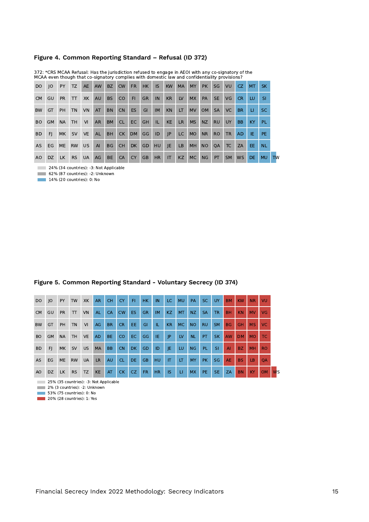#### **Figure 4. Common Reporting Standard – Refusal (ID 372)**

| DO.            | O         | <b>PY</b> | TZ.       | <b>AE</b> | <b>AW</b> | BZ        | <b>CW</b>       | FR.       | HK.       | IS.       | <b>KW</b>    | <b>MA</b> | <b>MY</b> | <b>PK</b> | SG.       | VU        | CZ.       | MT.       | SK.       |
|----------------|-----------|-----------|-----------|-----------|-----------|-----------|-----------------|-----------|-----------|-----------|--------------|-----------|-----------|-----------|-----------|-----------|-----------|-----------|-----------|
| CM             | GU        | <b>PR</b> | $\pi$     | XK        | <b>AU</b> | <b>BS</b> | CO <sub>1</sub> | FI.       | <b>GR</b> | IN        | KR           | LV        | <b>MX</b> | PA        | SE.       | VG.       | <b>CR</b> | LU.       | SI.       |
| <b>BW</b>      | GT        | <b>PH</b> | <b>TN</b> | <b>VN</b> | AT        | <b>BN</b> | CN.             | ES.       | GI        | <b>IM</b> | <b>KN</b>    | LT.       | <b>MV</b> | OM.       | <b>SA</b> | VC.       | BR.       | u.        | SC.       |
| <b>BO</b>      | <b>GM</b> | <b>NA</b> | <b>TH</b> | VI        | <b>AR</b> | <b>BM</b> | CL.             | EC.       | GH        | IL.       | <b>KE</b>    | <b>LR</b> | <b>MS</b> | NZ        | <b>RU</b> | <b>UY</b> | <b>BB</b> | KY.       | PL.       |
| <b>BD</b>      | FI.       | <b>MK</b> | <b>SV</b> | <b>VE</b> | <b>AL</b> | <b>BH</b> | <b>CK</b>       | DM        | GG        | ID        | $ $ $ $ $ $  | LC        | <b>MO</b> | <b>NR</b> | RO.       | <b>TR</b> | AD.       | <b>NB</b> | PE.       |
| <b>AS</b>      | EG        | <b>ME</b> | <b>RW</b> | <b>US</b> | AI        | BG -      | CH              | DK        | <b>GD</b> | <b>HU</b> | E            | LB        | <b>MH</b> | NO        | <b>QA</b> | TC        | <b>ZA</b> | EE.       | NL.       |
| A <sub>O</sub> | DZ.       | LK        | <b>RS</b> | <b>UA</b> | AG        | <b>BE</b> | <b>CA</b>       | <b>CY</b> | <b>GB</b> | HR        | $\mathsf{I}$ | <b>KZ</b> | MC        | NG        | <b>PT</b> | <b>SM</b> | <b>WS</b> | DE.       | <b>MU</b> |

372: \*CRS MCAA Refusal: Has the jurisdiction refused to engage in AEOI with any co-signatory of the MCAA even though that co-signatory complies with domestic law and confidentiality provisions?

24% (34 countries): -3: Not Applicable

62% (87 countries): -2: Unknown

**14% (20 countries): 0: No** 

| Figure 5. Common Reporting Standard - Voluntary Secrecy (ID 374) |
|------------------------------------------------------------------|
|------------------------------------------------------------------|

| D <sub>O</sub> | O         | PY        | <b>TW</b> | <b>XK</b> | <b>AR</b> | <b>CH</b>      | <b>CY</b> | FI.       | <b>HK</b> | IN.       | LC.       | <b>MU</b> | PA        | SC.       | <b>UY</b> | <b>BM</b> | <b>KW</b> | <b>NR</b> | VU        |                      |
|----------------|-----------|-----------|-----------|-----------|-----------|----------------|-----------|-----------|-----------|-----------|-----------|-----------|-----------|-----------|-----------|-----------|-----------|-----------|-----------|----------------------|
| <b>CM</b>      | GU        | <b>PR</b> | T         | VN        | <b>AL</b> | <b>CA</b>      | <b>CW</b> | <b>ES</b> | <b>GR</b> | <b>IM</b> | KZ.       | <b>MT</b> | NZ.       | <b>SA</b> | <b>TR</b> | <b>BH</b> | <b>KN</b> | <b>MV</b> | VG.       |                      |
| <b>BW</b>      | GT        | PH        | <b>TN</b> | VI        | AG        | <b>BR</b>      | <b>CR</b> | EE.       | GI        | Æ         | <b>KR</b> | <b>MC</b> | <b>NO</b> | <b>RU</b> | <b>SM</b> | <b>BG</b> | <b>GH</b> | <b>MS</b> | VC.       |                      |
| <b>BO</b>      | <b>GM</b> | <b>NA</b> | <b>TH</b> | <b>VE</b> | <b>AD</b> | BE.            | CO.       | EC.       | GG        | IE.       | JP        | LV        | <b>NL</b> | PT.       | <b>SK</b> | <b>AW</b> | <b>DM</b> | <b>MO</b> | TC.       |                      |
| <b>BD</b>      | FJ.       | <b>MK</b> | <b>SV</b> | US.       | <b>MA</b> | B <sub>B</sub> | <b>CN</b> | <b>DK</b> | GD        | ID        | JE        | LU        | <b>NG</b> | PL.       | <b>SI</b> | AI        | BZ.       | <b>MH</b> | <b>RO</b> |                      |
| <b>AS</b>      | EG        | <b>ME</b> | <b>RW</b> | UA        | LR.       | AU             | <b>CL</b> | <b>DE</b> | <b>GB</b> | <b>HU</b> | <b>IT</b> | LT        | <b>MY</b> | <b>PK</b> | <b>SG</b> | <b>AE</b> | <b>BS</b> | LB        | <b>OA</b> |                      |
| AO             | <b>DZ</b> | <b>LK</b> | <b>RS</b> | <b>TZ</b> | <b>KE</b> | AT             | CK        | CZ.       | FR.       | HR.       | <b>IS</b> | LI.       | MX        | PE.       | SE.       | <b>ZA</b> | <b>BN</b> | KY        | <b>OM</b> | <b>W<sub>S</sub></b> |

25% (35 countries): -3: Not Applicable

2% (3 countries): -2: Unknown

**53% (75 countries): 0: No** 

**20%** (28 countries): 1: Yes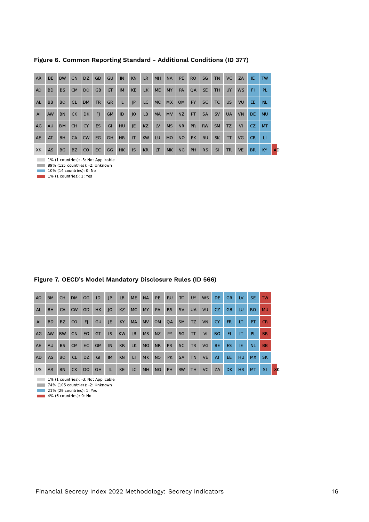| <b>AR</b>      | <b>BE</b> | <b>BW</b> | <b>CN</b> | DZ.       | GD        | GU        | IN        | <b>KN</b> | <b>LR</b> | MH        | <b>NA</b> | <b>PE</b> | RO.       | SG        | <b>TN</b> | VC.          | ZA        | IE.       | <b>TW</b> |
|----------------|-----------|-----------|-----------|-----------|-----------|-----------|-----------|-----------|-----------|-----------|-----------|-----------|-----------|-----------|-----------|--------------|-----------|-----------|-----------|
| A <sub>O</sub> | <b>BD</b> | <b>BS</b> | <b>CM</b> | <b>DO</b> | <b>GB</b> | GT        | <b>IM</b> | <b>KE</b> | <b>LK</b> | <b>ME</b> | <b>MY</b> | PA        | <b>OA</b> | <b>SE</b> | <b>TH</b> | <b>UY</b>    | <b>WS</b> | <b>FI</b> | PL.       |
| <b>AL</b>      | <b>BB</b> | <b>BO</b> | <b>CL</b> | <b>DM</b> | <b>FR</b> | <b>GR</b> | IL.       | JP.       | LC.       | MC        | <b>MX</b> | <b>OM</b> | PY        | <b>SC</b> | <b>TC</b> | <b>US</b>    | VU        | EE.       | <b>NL</b> |
| AI             | <b>AW</b> | <b>BN</b> | <b>CK</b> | <b>DK</b> | FI.       | <b>GM</b> | ID        | JO        | LB        | <b>MA</b> | <b>MV</b> | <b>NZ</b> | <b>PT</b> | <b>SA</b> | <b>SV</b> | <b>UA</b>    | <b>VN</b> | DE.       | <b>MU</b> |
| AG             | <b>AU</b> | <b>BM</b> | <b>CH</b> | <b>CY</b> | <b>ES</b> | GI        | <b>HU</b> | IE.       | <b>KZ</b> | LV        | <b>MS</b> | <b>NR</b> | <b>PR</b> | <b>RW</b> | <b>SM</b> | <b>TZ</b>    | VI        | CZ.       | <b>MT</b> |
| <b>AE</b>      | AT        | <b>BH</b> | CA        | <b>CW</b> | EG        | <b>GH</b> | <b>HR</b> | <b>IT</b> | <b>KW</b> | LU        | <b>MO</b> | <b>NO</b> | <b>PK</b> | <b>RU</b> | <b>SK</b> | $\mathsf{T}$ | VG        | <b>CR</b> | LI.       |
| XK             | <b>AS</b> | <b>BG</b> | <b>BZ</b> | <b>CO</b> | <b>EC</b> | GG        | <b>HK</b> | <b>IS</b> | <b>KR</b> | IT        | <b>MK</b> | <b>NG</b> | PH        | <b>RS</b> | <b>SI</b> | <b>TR</b>    | <b>VE</b> | <b>BR</b> | KY        |

**Figure 6. Common Reporting Standard - Additional Conditions (ID 377)**

1% (1 countries): -3: Not Applicable

89% (125 countries): -2: Unknown

10% (14 countries): 0: No 1% (1 countries): 1: Yes

| Figure 7. OECD's Model Mandatory Disclosure Rules (ID 566) |  |  |  |
|------------------------------------------------------------|--|--|--|
|                                                            |  |  |  |

| A <sub>O</sub> | <b>BM</b> | <b>CH</b> | DM        | GG        | ID        | JP        | LB        | <b>ME</b>    | <b>NA</b> | PE.       | <b>RU</b> | TC        | <b>UY</b>    | <b>WS</b>      | DE.       | <b>GR</b> | LV        | SE.       | <b>TW</b> |    |
|----------------|-----------|-----------|-----------|-----------|-----------|-----------|-----------|--------------|-----------|-----------|-----------|-----------|--------------|----------------|-----------|-----------|-----------|-----------|-----------|----|
| AL             | <b>BH</b> | CA        | <b>CW</b> | GD        | HK        | IO        | KZ        | MC           | <b>MY</b> | PA        | <b>RS</b> | <b>SV</b> | <b>UA</b>    | VU             | CZ.       | <b>GB</b> | LU.       | RO.       | <b>MU</b> |    |
| AI             | <b>BD</b> | <b>BZ</b> | CO        | F         | GU        | JE.       | <b>KY</b> | <b>MA</b>    | <b>MV</b> | <b>OM</b> | <b>OA</b> | <b>SM</b> | <b>TZ</b>    | VN             | <b>CY</b> | FR.       | LT        | PT.       | <b>CR</b> |    |
| AG             | <b>AW</b> | <b>BW</b> | <b>CN</b> | EG        | <b>GT</b> | IS.       | <b>KW</b> | <b>LR</b>    | <b>MS</b> | <b>NZ</b> | <b>PY</b> | SG        | $\mathbf{T}$ | V <sub>1</sub> | <b>BG</b> | FI.       | <b>IT</b> | PL.       | <b>BR</b> |    |
| <b>AE</b>      | AU        | <b>BS</b> | <b>CM</b> | EC.       | <b>GM</b> | IN        | KR        | <b>LK</b>    | <b>MO</b> | <b>NR</b> | <b>PR</b> | SC.       | <b>TR</b>    | VG             | BE.       | ES.       | IE.       | <b>NL</b> | <b>BB</b> |    |
| <b>AD</b>      | <b>AS</b> | <b>BO</b> | <b>CL</b> | DZ.       | GI        | <b>IM</b> | <b>KN</b> | $\mathbf{H}$ | <b>MK</b> | <b>NO</b> | <b>PK</b> | <b>SA</b> | <b>TN</b>    | <b>VE</b>      | AT        | EE.       | HU.       | <b>MX</b> | <b>SK</b> |    |
| <b>US</b>      | <b>AR</b> | <b>BN</b> | <b>CK</b> | <b>DO</b> | GH        | IL.       | KE        | LC.          | MH        | <b>NG</b> | PH        | <b>RW</b> | <b>TH</b>    | VC             | ZA        | <b>DK</b> | HR.       | <b>MT</b> | <b>SI</b> | XK |

1% (1 countries): -3: Not Applicable

74% (105 countries): -2: Unknown

21% (29 countries): 1: Yes

4% (6 countries): 0: No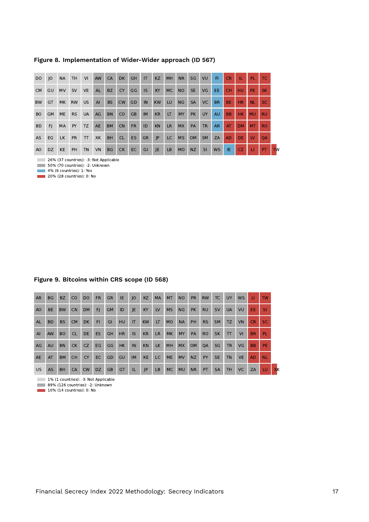| <b>DO</b> | O         | <b>NA</b> | <b>TH</b> | VI        | <b>AW</b> | <b>CA</b> | DK.       | <b>GH</b> | IT        | <b>KZ</b> | <b>MH</b> | <b>NR</b> | SG        | VU        | FL.       | CR        | т.        | PL.       | TC.       |           |
|-----------|-----------|-----------|-----------|-----------|-----------|-----------|-----------|-----------|-----------|-----------|-----------|-----------|-----------|-----------|-----------|-----------|-----------|-----------|-----------|-----------|
| <b>CM</b> | GU        | <b>MV</b> | <b>SV</b> | <b>VE</b> | <b>AL</b> | BZ        | <b>CY</b> | GG        | <b>IS</b> | <b>KY</b> | <b>MC</b> | <b>NO</b> | <b>SE</b> | VG        | EE.       | <b>CH</b> | HU.       | PE.       | <b>SK</b> |           |
| <b>BW</b> | GT        | MK.       | <b>RW</b> | US.       | AI        | <b>BS</b> | <b>CW</b> | GD        | IN        | <b>KW</b> | LU        | <b>NG</b> | <b>SA</b> | <b>VC</b> | BR.       | <b>BE</b> | HR        | <b>NL</b> | SC.       |           |
| <b>BO</b> | <b>GM</b> | <b>ME</b> | <b>RS</b> | <b>UA</b> | AG        | <b>BN</b> | <b>CO</b> | <b>GB</b> | <b>IM</b> | <b>KR</b> | <b>LT</b> | <b>MY</b> | <b>PK</b> | <b>UY</b> | <b>AU</b> | <b>BB</b> | HK.       | <b>MU</b> | <b>RU</b> |           |
| <b>BD</b> | FI.       | MA        | <b>PY</b> | TZ        | AE        | <b>BM</b> | <b>CN</b> | <b>FR</b> | ID        | <b>KN</b> | <b>LR</b> | <b>MX</b> | PA        | <b>TR</b> | AR.       | AT        | <b>DM</b> | <b>MT</b> | <b>RO</b> |           |
| AS.       | EG        | LK.       | <b>PR</b> | T         | <b>XK</b> | <b>BH</b> | <b>CL</b> | ES        | <b>GR</b> | P         | LC        | <b>MS</b> | <b>OM</b> | <b>SM</b> | ZA        | <b>AD</b> | DE.       | LV        | <b>OA</b> |           |
| AO.       | DZ.       | <b>KE</b> | PH        | <b>TN</b> | <b>VN</b> | <b>BG</b> | CK.       | EC        | GI        | JE.       | LB        | <b>MO</b> | NZ.       | <b>SI</b> | <b>WS</b> | IE.       | CZ.       | <b>LI</b> | PT.       | <b>TW</b> |

#### **Figure 8. Implementation of Wider-Wider approach (ID 567)**

26% (37 countries): -3: Not Applicable

50% (70 countries): -2: Unknown

4% (6 countries): 1: Yes

**20% (28 countries): 0: No** 

#### **Figure 9. Bitcoins within CRS scope (ID 568)**

| <b>AR</b>      | <b>BG</b> | <b>BZ</b> | CO        | <b>DO</b> | <b>FR</b> | <b>GR</b> | IE        | O         | <b>KZ</b> | <b>MA</b> | <b>MT</b> | <b>NO</b> | <b>PR</b> | <b>RW</b> | <b>TC</b> | <b>UY</b>    | <b>WS</b> | П         | <b>TW</b> |    |
|----------------|-----------|-----------|-----------|-----------|-----------|-----------|-----------|-----------|-----------|-----------|-----------|-----------|-----------|-----------|-----------|--------------|-----------|-----------|-----------|----|
| A <sub>O</sub> | <b>BE</b> | <b>BW</b> | <b>CN</b> | <b>DM</b> | FJ.       | <b>GM</b> | ID        | JE        | KY        | LV        | <b>MS</b> | <b>NG</b> | <b>PK</b> | <b>RU</b> | <b>SV</b> | <b>UA</b>    | VU.       | EE.       | <b>SI</b> |    |
| AL             | <b>BD</b> | <b>BS</b> | <b>CM</b> | <b>DK</b> | <b>FI</b> | GI        | <b>HU</b> | IT        | <b>KW</b> | LT.       | <b>MO</b> | <b>NA</b> | <b>PH</b> | <b>RS</b> | <b>SM</b> | TZ.          | <b>VN</b> | <b>CR</b> | <b>SC</b> |    |
| AI             | <b>AW</b> | <b>BO</b> | <b>CL</b> | DE.       | ES.       | GH        | <b>HR</b> | <b>IS</b> | KR        | LR.       | <b>MK</b> | <b>MY</b> | PA        | <b>RO</b> | <b>SK</b> | $\mathsf{T}$ | VI        | <b>BR</b> | <b>PL</b> |    |
| AG             | <b>AU</b> | <b>BN</b> | <b>CK</b> | CZ.       | EG        | GG        | HK        | IN        | <b>KN</b> | LK        | <b>MH</b> | <b>MX</b> | <b>OM</b> | <b>OA</b> | SG        | <b>TR</b>    | VG        | <b>BB</b> | <b>PE</b> |    |
| <b>AE</b>      | AT        | <b>BM</b> | <b>CH</b> | <b>CY</b> | EC.       | GD.       | GU        | <b>IM</b> | <b>KE</b> | LC.       | <b>ME</b> | <b>MV</b> | <b>NZ</b> | <b>PY</b> | <b>SE</b> | <b>TN</b>    | <b>VE</b> | <b>AD</b> | <b>NL</b> |    |
| <b>US</b>      | AS        | <b>BH</b> | <b>CA</b> | <b>CW</b> | DZ.       | <b>GB</b> | GT        | IL        | P         | LB        | MC        | <b>MU</b> | <b>NR</b> | PT        | <b>SA</b> | <b>TH</b>    | <b>VC</b> | ZA        | LU        | XK |

1% (1 countries): -3: Not Applicable

**89%** (126 countries): -2: Unknown

 $10\%$  (14 countries): 0: No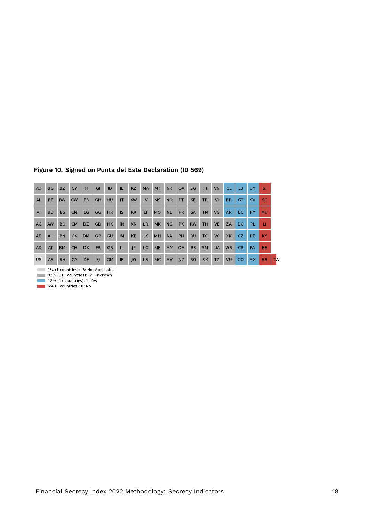| A <sub>O</sub> | <b>BG</b> | <b>BZ</b> | <b>CY</b> | F1        | GI        | ID        | JE.       | <b>KZ</b> | <b>MA</b> | MT        | <b>NR</b> | QA        | SG        | $\mathsf{T}$ | <b>VN</b> | CL        | LU.           | UY.       | <b>SI</b> |           |
|----------------|-----------|-----------|-----------|-----------|-----------|-----------|-----------|-----------|-----------|-----------|-----------|-----------|-----------|--------------|-----------|-----------|---------------|-----------|-----------|-----------|
| AL             | <b>BE</b> | <b>BW</b> | <b>CW</b> | <b>ES</b> | <b>GH</b> | <b>HU</b> | <b>IT</b> | <b>KW</b> | LV        | <b>MS</b> | <b>NO</b> | <b>PT</b> | <b>SE</b> | <b>TR</b>    | VI        | <b>BR</b> | <b>GT</b>     | <b>SV</b> | <b>SC</b> |           |
| AI             | <b>BD</b> | <b>BS</b> | <b>CN</b> | EG.       | GG        | HR        | IS.       | KR        | <b>IT</b> | MO.       | <b>NL</b> | <b>PR</b> | <b>SA</b> | <b>TN</b>    | VG        | AR.       | EC.           | <b>PY</b> | <b>MU</b> |           |
| AG             | <b>AW</b> | <b>BO</b> | CM.       | DZ.       | GD        | <b>HK</b> | IN        | <b>KN</b> | LR.       | <b>MK</b> | <b>NG</b> | <b>PK</b> | <b>RW</b> | TH.          | <b>VE</b> | ZA        | <b>DO</b>     | PL.       | u         |           |
| <b>AE</b>      | <b>AU</b> | <b>BN</b> | CK        | <b>DM</b> | <b>GB</b> | GU        | <b>IM</b> | <b>KE</b> | <b>LK</b> | <b>MH</b> | <b>NA</b> | <b>PH</b> | <b>RU</b> | <b>TC</b>    | <b>VC</b> | XK        | CZ.           | PE.       | <b>KY</b> |           |
| <b>AD</b>      | AT        | <b>BM</b> | <b>CH</b> | DK.       | <b>FR</b> | <b>GR</b> | IL.       | P         | LC        | <b>ME</b> | <b>MY</b> | <b>OM</b> | <b>RS</b> | <b>SM</b>    | <b>UA</b> | <b>WS</b> | CR.           | PA        | EE        |           |
| US.            | <b>AS</b> | <b>BH</b> | CA        | DE.       | F         | <b>GM</b> | IE.       | IO        | <b>LB</b> | <b>MC</b> | <b>MV</b> | <b>NZ</b> | RO.       | <b>SK</b>    | <b>TZ</b> | VU        | <sub>CO</sub> | <b>MX</b> | <b>BB</b> | <b>TW</b> |

#### **Figure 10. Signed on Punta del Este Declaration (ID 569)**

1% (1 countries): -3: Not Applicable

82% (115 countries): -2: Unknown

12% (17 countries): 1: Yes 6% (8 countries): 0: No

Financial Secrecy Index 2022 Methodology: Secrecy Indicators 18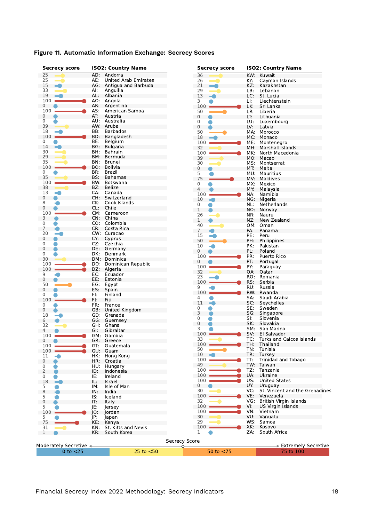| <b>Secrecy score</b>   |     | <b>ISO2: Country Name</b> | <b>Secrecy score</b>       |     | <b>ISO2: Country Name</b>      |
|------------------------|-----|---------------------------|----------------------------|-----|--------------------------------|
| 25                     | AD: | Andorra                   | 36                         | KW: | Kuwait                         |
| 25                     | AE: | United Arab Emirates      | 26                         | KY: | Cayman Islands                 |
| 15<br>-9               |     | AG: Antigua and Barbuda   | 21                         | KZ: | Kazakhstan                     |
| 33                     | Al: | Anguilla                  | 29                         | LB: | Lebanon                        |
| 19                     | AL: | Albania                   | 13<br>m.                   | LC: | St. Lucia                      |
| 100                    |     | AO: Angola                | 3                          | LI: | Liechtenstein                  |
| 0                      | AR: | Argentina                 | 100                        | LK: | Sri Lanka                      |
| 100                    | AS: | American Samoa            | 50                         | LR: | Liberia                        |
| 0                      | AT: | Austria                   | $\mathbf 0$                | LT: | Lithuania                      |
| 0                      | AU: | Australia                 | 0                          | LU: | Luxembourg                     |
| 39                     |     | AW: Aruba                 | 0                          | LV: | Latvia                         |
| 18                     | BB: | <b>Barbados</b>           | 50                         | MA: | Morocco                        |
| 100                    | BD: | Bangladesh                | 18                         | MC: | Monaco                         |
| 0                      | BE: | <b>Belgium</b>            | 100                        |     |                                |
| 14<br>▄                | BG: | <b>Bulgaria</b>           |                            | ME: | Montenegro                     |
| 30                     | BH: | <b>Bahrain</b>            | 32                         | MH. | Marshall Islands               |
| 29                     | BM: | Bermuda                   | 100                        | MK. | North Macedonia                |
| 35                     |     |                           | 39                         |     | MO: Macao                      |
|                        | BN. | Brunei                    | 30                         | MS: | Montserrat                     |
| 100                    | BO. | <b>Bolivia</b>            | $\mathbf 0$                | MT: | Malta                          |
| 0                      | BR: | Brazil                    | 5                          |     | MU: Mauritius                  |
| 35                     | BS: | <b>Bahamas</b>            | 75                         | MV: | Maldives                       |
| 100                    | BW: | Botswana                  | 0                          | MX: | Mexico                         |
| 38                     | BZ: | <b>Belize</b>             | $\overline{4}$             | MY: | Malaysia                       |
| 13                     | CA: | Canada                    | 100                        | NA: | Namibia                        |
|                        | CH: | Switzerland               | 10                         |     | NG: Nigeria                    |
|                        | CK: | Cook Islands              | 0                          | NL: | Netherlands                    |
|                        | CL: | Chile                     |                            |     |                                |
| 0<br>100               |     | CM: Cameroon              | 1                          | NO: | Norway                         |
| 3                      |     | CN: China                 | 26                         | NR: | Nauru                          |
| 0                      | CO: | Colombia                  | 1                          | NZ: | New Zealand                    |
| 7                      | CR: | Costa Rica                | 40                         |     | OM: Oman                       |
|                        |     |                           | 7                          | PA: | Panama                         |
| 20                     |     | CW: Curacao               | 15                         | PE: | Peru                           |
|                        | CY: | Cyprus                    | 50                         | PH: | Philippines                    |
|                        | CZ: | Czechia                   | 10                         | PK: | Pakistan                       |
| 0                      | DE: | Germany                   | $\mathbf 0$                | PL: | Poland                         |
| 0                      | DK: | Denmark                   | 100                        | PR: | Puerto Rico                    |
| 30                     |     | DM: Dominica              | 0                          | PT: | Portugal                       |
| 100                    | DO: | Dominican Republic        | 100                        |     |                                |
| 100                    | DZ: | Algeria                   |                            | PY: | Paraguay                       |
| 9                      | EC: | Ecuador                   | 32                         | QA: | Qatar                          |
| 0                      | EE: | Estonia                   | 23                         | RO: | Romania                        |
| 50                     | EG: | Egypt                     | 100                        | RS: | Serbia                         |
|                        | ES: | Spain                     | 9                          | RU: | Russia                         |
|                        | FI: | Finland                   | 100                        |     | RW: Rwanda                     |
| 100                    | FJ: | Fiji                      | 4                          | SA: | Saudi Arabia                   |
|                        | FR: | France                    | 11                         | SC: | Seychelles                     |
|                        |     |                           | 0                          | SE: | Sweden                         |
|                        |     | GB: United Kingdom        | 3                          | SG: | Singapore                      |
| 18                     |     | GD: Grenada               | 0                          | SI: | Slovenia                       |
|                        |     | GG: Guernsey              | 0                          | SK: | Slovakia                       |
| 32                     | GH. | Ghana                     | 3                          | SM: | San Marino                     |
|                        | GI. | Gibraltar                 |                            |     |                                |
| 100                    |     | GM: Gambia                | 100                        | SV: | El Salvador                    |
|                        | GR: | Greece                    | 33                         | TC: | Turks and Caicos Islands       |
| 100                    | GT: | Guatemala                 | 100                        | TH: | Thailand                       |
| 100                    | GU: | Guam                      | 50                         | TN: | Tunisia                        |
| 11<br>a C              | HK: | Hong Kong                 | 10                         | TR: | Turkey                         |
|                        | HR: | Croatia                   | 100                        | TT: | Trinidad and Tobago            |
|                        | HU: | Hungary                   | 49                         |     | TW: Taiwan                     |
|                        | ID: | Indonesia                 | 100                        | TZ: | Tanzania                       |
|                        | IE: | Ireland                   | 100                        | UA: | Ukraine                        |
|                        |     |                           | 100                        | US: | <b>United States</b>           |
| 18<br>$\equiv$         | IL: | Israel                    | 0                          | UY: | Uruguay                        |
|                        | IM: | Isle of Man               |                            |     |                                |
|                        | IN: | India                     | 30                         | VC: | St. Vincent and the Grenadines |
|                        | IS: | Iceland                   | $100 -$                    | VE: | Venezuela                      |
|                        | IT: | Italy                     | 32                         | VG: | British Virgin Islands         |
|                        | JE: | Jersey                    | 100                        | VI: | US Virgin Islands              |
| 100                    | JO: | Jordan                    | 100                        | VN: | Vietnam                        |
|                        | jp: | Japan                     | 30                         |     | VU: Vanuatu                    |
| 75                     | KE: | Kenya                     | 29                         |     | WS: Samoa                      |
| 31                     | KN: | St. Kitts and Nevis       | 100                        | XK: | Kosovo                         |
|                        | KR: | South Korea               | $\mathbf{1}$               | ZA: | South Africa                   |
|                        |     |                           |                            |     |                                |
|                        |     |                           |                            |     |                                |
|                        |     |                           |                            |     |                                |
| Moderately Secretive < |     | $25$ to $< 50$            | <b>Secrecy Score</b><br>O. |     | > Extremely Secretive          |

## **Figure 11. Automatic Information Exchange: Secrecy Scores**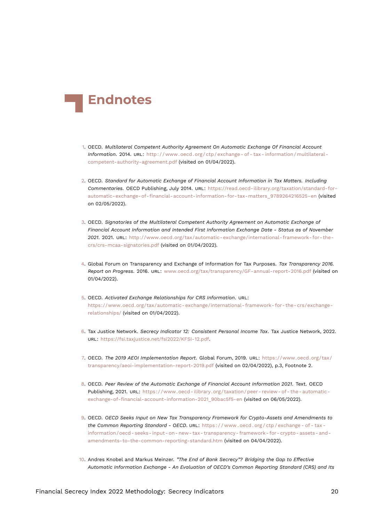<span id="page-19-13"></span>

- <span id="page-19-0"></span>[1.](#page-0-1) OECD. *Multilateral Competent Authority Agreement On Automatic Exchange Of Financial Account Information*. 2014. URL: [http : / / www . oecd . org / ctp / exchange - of - tax - information / multilateral](http://www.oecd.org/ctp/exchange-of-tax-information/multilateral-competent-authority-agreement.pdf)  [competent-authority-agreement.pdf](http://www.oecd.org/ctp/exchange-of-tax-information/multilateral-competent-authority-agreement.pdf) (visited on 01/04/2022).
- <span id="page-19-1"></span>[2.](#page-0-2) OECD. *Standard for Automatic Exchange of Financial Account Information in Tax Matters. Including Commentaries.* OECD Publishing, July 2014. URL: [https://read.oecd-ilibrary.org/taxation/standard-for](https://read.oecd-ilibrary.org/taxation/standard-for-automatic-exchange-of-financial-account-information-for-tax-matters_9789264216525-en)[automatic-exchange-of-financial-account-information-for-tax-matters\\_9789264216525-en](https://read.oecd-ilibrary.org/taxation/standard-for-automatic-exchange-of-financial-account-information-for-tax-matters_9789264216525-en) (visited on 02/05/2022).
- <span id="page-19-10"></span><span id="page-19-2"></span>[3.](#page-0-3) OECD. *Signatories of the Multilateral Competent Authority Agreement on Automatic Exchange of Financial Account Information and Intended First Information Exchange Date - Status as of November 2021*. 2021. URL: [http://www.oecd.org/tax/automatic-exchange/international-framework-for-the](http://www.oecd.org/tax/automatic-exchange/international-framework-for-the-crs/crs-mcaa-signatories.pdf)[crs/crs-mcaa-signatories.pdf](http://www.oecd.org/tax/automatic-exchange/international-framework-for-the-crs/crs-mcaa-signatories.pdf) (visited on 01/04/2022).
- <span id="page-19-3"></span>[4.](#page-2-0) Global Forum on Transparency and Exchange of Information for Tax Purposes. *Tax Transparency 2016. Report on Progress*. 2016. URL: <www.oecd.org/tax/transparency/GF-annual-report-2016.pdf> (visited on 01/04/2022).
- <span id="page-19-4"></span>[5.](#page-3-0) OECD. *Activated Exchange Relationships for CRS Information*. URL: [https://www.oecd.org/tax/automatic- exchange/international- framework- for- the- crs/exchange](https://www.oecd.org/tax/automatic-exchange/international-framework-for-the-crs/exchange-relationships/)[relationships/](https://www.oecd.org/tax/automatic-exchange/international-framework-for-the-crs/exchange-relationships/) (visited on 01/04/2022).
- <span id="page-19-5"></span>[6.](#page-4-0) Tax Justice Network. *Secrecy Indicator 12: Consistent Personal Income Tax*. Tax Justice Network, 2022. URL: <https://fsi.taxjustice.net/fsi2022/KFSI-12.pdf>.
- <span id="page-19-6"></span>[7.](#page-4-1) OECD. *The 2019 AEOI Implementation Report*. Global Forum, 2019. URL: [https://www.oecd.org/tax/](https://www.oecd.org/tax/transparency/aeoi-implementation-report-2019.pdf) [transparency/aeoi-implementation-report-2019.pdf](https://www.oecd.org/tax/transparency/aeoi-implementation-report-2019.pdf) (visited on 02/04/2022), p.3, Footnote 2.
- <span id="page-19-11"></span><span id="page-19-7"></span>[8.](#page-4-2) OECD. *Peer Review of the Automatic Exchange of Financial Account Information 2021*. Text. OECD Publishing, 2021. URL: [https://www.oecd- ilibrary.org/taxation/peer- review- of- the- automatic](https://www.oecd-ilibrary.org/taxation/peer-review-of-the-automatic-exchange-of-financial-account-information-2021_90bac5f5-en)[exchange-of-financial-account-information-2021\\_90bac5f5-en](https://www.oecd-ilibrary.org/taxation/peer-review-of-the-automatic-exchange-of-financial-account-information-2021_90bac5f5-en) (visited on 06/05/2022).
- <span id="page-19-8"></span>[9.](#page-5-0) OECD. *OECD Seeks Input on New Tax Transparency Framework for Crypto-Assets and Amendments to the Common Reporting Standard - OECD.* URL: https://www.oecd.org/ctp/exchange-of-tax[information/oecd- seeks- input- on- new- tax- transparency- framework- for- crypto- assets- and](https://www.oecd.org/ctp/exchange-of-tax-information/oecd-seeks-input-on-new-tax-transparency-framework-for-crypto-assets-and-amendments-to-the-common-reporting-standard.htm)[amendments-to-the-common-reporting-standard.htm](https://www.oecd.org/ctp/exchange-of-tax-information/oecd-seeks-input-on-new-tax-transparency-framework-for-crypto-assets-and-amendments-to-the-common-reporting-standard.htm) (visited on 04/04/2022).
- <span id="page-19-12"></span><span id="page-19-9"></span>[10.](#page-5-1) Andres Knobel and Markus Meinzer. *"The End of Bank Secrecy"? Bridging the Gap to Effective Automatic Information Exchange - An Evaluation of OECD's Common Reporting Standard (CRS) and Its*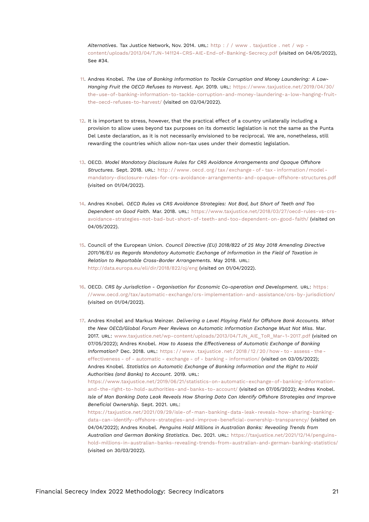<span id="page-20-7"></span>*Alternatives*. Tax Justice Network, Nov. 2014. URL: [http : / / www . taxjustice . net / wp](http://www.taxjustice.net/wp-content/uploads/2013/04/TJN-141124-CRS-AIE-End-of-Banking-Secrecy.pdf)  [content/uploads/2013/04/TJN-141124-CRS-AIE-End-of-Banking-Secrecy.pdf](http://www.taxjustice.net/wp-content/uploads/2013/04/TJN-141124-CRS-AIE-End-of-Banking-Secrecy.pdf) (visited on 04/05/2022), See #34.

- <span id="page-20-0"></span>[11.](#page-5-2) Andres Knobel. *The Use of Banking Information to Tackle Corruption and Money Laundering: A Low-Hanging Fruit the OECD Refuses to Harvest*. Apr. 2019. URL: [https://www.taxjustice.net/2019/04/30/](https://www.taxjustice.net/2019/04/30/the-use-of-banking-information-to-tackle-corruption-and-money-laundering-a-low-hanging-fruit-the-oecd-refuses-to-harvest/) [the-use-of-banking-information-to-tackle-corruption-and-money-laundering-a-low-hanging-fruit](https://www.taxjustice.net/2019/04/30/the-use-of-banking-information-to-tackle-corruption-and-money-laundering-a-low-hanging-fruit-the-oecd-refuses-to-harvest/)[the-oecd-refuses-to-harvest/](https://www.taxjustice.net/2019/04/30/the-use-of-banking-information-to-tackle-corruption-and-money-laundering-a-low-hanging-fruit-the-oecd-refuses-to-harvest/) (visited on 02/04/2022).
- <span id="page-20-1"></span>[12.](#page-5-3) It is important to stress, however, that the practical effect of a country unilaterally including a provision to allow uses beyond tax purposes on its domestic legislation is not the same as the Punta Del Leste declaration, as it is not necessarily envisioned to be reciprocal. We are, nonetheless, still rewarding the countries which allow non-tax uses under their domestic legislation.
- <span id="page-20-2"></span>[13.](#page-5-4) OECD. *Model Mandatory Disclosure Rules for CRS Avoidance Arrangements and Opaque Offshore Structures*. Sept. 2018. URL: [http : / / www . oecd . org / tax / exchange - of - tax - information / model](http://www.oecd.org/tax/exchange-of-tax-information/model-mandatory-disclosure-rules-for-crs-avoidance-arrangements-and-opaque-offshore-structures.pdf)  [mandatory-disclosure-rules-for-crs-avoidance-arrangements-and-opaque-offshore-structures.pdf](http://www.oecd.org/tax/exchange-of-tax-information/model-mandatory-disclosure-rules-for-crs-avoidance-arrangements-and-opaque-offshore-structures.pdf) (visited on 01/04/2022).
- <span id="page-20-3"></span>[14.](#page-5-5) Andres Knobel. *OECD Rules vs CRS Avoidance Strategies: Not Bad, but Short of Teeth and Too Dependent on Good Faith*. Mar. 2018. URL: [https://www.taxjustice.net/2018/03/27/oecd-rules-vs-crs](https://www.taxjustice.net/2018/03/27/oecd-rules-vs-crs-avoidance-strategies-not-bad-but-short-of-teeth-and-too-dependent-on-good-faith/)[avoidance-strategies-not-bad-but-short-of-teeth-and-too-dependent-on-good-faith/](https://www.taxjustice.net/2018/03/27/oecd-rules-vs-crs-avoidance-strategies-not-bad-but-short-of-teeth-and-too-dependent-on-good-faith/) (visited on 04/05/2022).
- <span id="page-20-4"></span>[15.](#page-5-6) Council of the European Union. *Council Directive (EU) 2018/822 of 25 May 2018 Amending Directive 2011/16/EU as Regards Mandatory Automatic Exchange of Information in the Field of Taxation in Relation to Reportable Cross-Border Arrangements*. May 2018. URL: <http://data.europa.eu/eli/dir/2018/822/oj/eng> (visited on 01/04/2022).
- <span id="page-20-5"></span>[16.](#page-6-0) OECD. *CRS by Jurisdiction - Organisation for Economic Co-operation and Development*. URL: [https :](https://www.oecd.org/tax/automatic-exchange/crs-implementation-and-assistance/crs-by-jurisdiction/) [//www.oecd.org/tax/automatic-exchange/crs-implementation-and-assistance/crs-by-jurisdiction/](https://www.oecd.org/tax/automatic-exchange/crs-implementation-and-assistance/crs-by-jurisdiction/) (visited on 01/04/2022).

<span id="page-20-6"></span>[17.](#page-6-1) Andres Knobel and Markus Meinzer. *Delivering a Level Playing Field for Offshore Bank Accounts. What the New OECD/Global Forum Peer Reviews on Automatic Information Exchange Must Not Miss*. Mar. 2017. URL: [www.taxjustice.net/wp-content/uploads/2013/04/TJN\\_AIE\\_ToR\\_Mar-1-2017.pdf](www.taxjustice.net/wp-content/uploads/2013/04/TJN_AIE_ToR_Mar-1-2017.pdf) (visited on 07/05/2022); Andres Knobel. *How to Assess the Effectiveness of Automatic Exchange of Banking Information?* Dec. 2018. URL: https://www.taxiustice.net/2018/12/20/how-to-assess-the[effectiveness - of - automatic - exchange - of - banking - information/](https://www.taxjustice.net/2018/12/20/how-to-assess-the-effectiveness-of-automatic-exchange-of-banking-information/) (visited on 03/05/2022); Andres Knobel. *Statistics on Automatic Exchange of Banking Information and the Right to Hold Authorities (and Banks) to Account*. 2019. URL:

[https://www.taxjustice.net/2019/06/21/statistics-on-automatic-exchange-of-banking-information](https://www.taxjustice.net/2019/06/21/statistics-on-automatic-exchange-of-banking-information-and-the-right-to-hold-authorities-and-banks-to-account/)[and-the-right-to-hold-authorities-and-banks-to-account/](https://www.taxjustice.net/2019/06/21/statistics-on-automatic-exchange-of-banking-information-and-the-right-to-hold-authorities-and-banks-to-account/) (visited on 07/05/2022); Andres Knobel. *Isle of Man Banking Data Leak Reveals How Sharing Data Can Identify Offshore Strategies and Improve Beneficial Ownership*. Sept. 2021. URL:

[https://taxjustice.net/2021/09/29/isle-of-man-banking-data-leak-reveals-how-sharing-banking](https://taxjustice.net/2021/09/29/isle-of-man-banking-data-leak-reveals-how-sharing-banking-data-can-identify-offshore-strategies-and-improve-beneficial-ownership-transparency/)[data-can-identify-offshore-strategies-and-improve-beneficial-ownership-transparency/](https://taxjustice.net/2021/09/29/isle-of-man-banking-data-leak-reveals-how-sharing-banking-data-can-identify-offshore-strategies-and-improve-beneficial-ownership-transparency/) (visited on 04/04/2022); Andres Knobel. *Penguins Hold Millions in Australian Banks: Revealing Trends from Australian and German Banking Statistics*. Dec. 2021. URL: [https://taxjustice.net/2021/12/14/penguins](https://taxjustice.net/2021/12/14/penguins-hold-millions-in-australian-banks-revealing-trends-from-australian-and-german-banking-statistics/)[hold-millions-in-australian-banks-revealing-trends-from-australian-and-german-banking-statistics/](https://taxjustice.net/2021/12/14/penguins-hold-millions-in-australian-banks-revealing-trends-from-australian-and-german-banking-statistics/) (visited on 30/03/2022).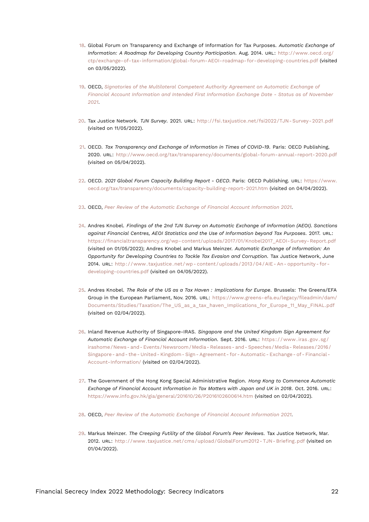- <span id="page-21-13"></span><span id="page-21-0"></span>[18.](#page-6-2) Global Forum on Transparency and Exchange of Information for Tax Purposes. *Automatic Exchange of Information: A Roadmap for Developing Country Participation*. Aug. 2014. URL: [http://www.oecd.org/](http://www.oecd.org/ctp/exchange-of-tax-information/global-forum-AEOI-roadmap-for-developing-countries.pdf) [ctp/exchange-of-tax-information/global-forum-AEOI-roadmap-for-developing-countries.pdf](http://www.oecd.org/ctp/exchange-of-tax-information/global-forum-AEOI-roadmap-for-developing-countries.pdf) (visited on 03/05/2022).
- <span id="page-21-1"></span>[19.](#page-6-3) OECD, *[Signatories of the Multilateral Competent Authority Agreement on Automatic Exchange of](#page-19-10) [Financial Account Information and Intended First Information Exchange Date - Status as of November](#page-19-10) [2021](#page-19-10)*.
- <span id="page-21-2"></span>[20.](#page-6-4) Tax Justice Network. *TJN Survey*. 2021. URL: [http://fsi.taxjustice.net/fsi2022/TJN- Survey- 2021.pdf](http://fsi.taxjustice.net/fsi2022/TJN-Survey-2021.pdf) (visited on 11/05/2022).
- <span id="page-21-3"></span>[21.](#page-6-5) OECD. *Tax Transparency and Exchange of Information in Times of COVID-19*. Paris: OECD Publishing, 2020. URL: <http://www.oecd.org/tax/transparency/documents/global-forum-annual-report-2020.pdf> (visited on 05/04/2022).
- <span id="page-21-4"></span>[22.](#page-7-0) OECD. *2021 Global Forum Capacity Building Report - OECD*. Paris: OECD Publishing. URL: [https://www.](https://www.oecd.org/tax/transparency/documents/capacity-building-report-2021.htm) [oecd.org/tax/transparency/documents/capacity-building-report-2021.htm](https://www.oecd.org/tax/transparency/documents/capacity-building-report-2021.htm) (visited on 04/04/2022).
- <span id="page-21-5"></span>[23.](#page-7-1) OECD, *[Peer Review of the Automatic Exchange of Financial Account Information 2021](#page-19-11)*.
- <span id="page-21-6"></span>[24.](#page-7-2) Andres Knobel. *Findings of the 2nd TJN Survey on Automatic Exchange of Information (AEOI). Sanctions against Financial Centres, AEOI Statistics and the Use of Information beyond Tax Purposes*. 2017. URL: [https://financialtransparency.org/wp-content/uploads/2017/01/Knobel2017\\_AEOI-Survey-Report.pdf](https://financialtransparency.org/wp-content/uploads/2017/01/Knobel2017_AEOI-Survey-Report.pdf) (visited on 01/05/2022); Andres Knobel and Markus Meinzer. *Automatic Exchange of Information: An Opportunity for Developing Countries to Tackle Tax Evasion and Corruption*. Tax Justice Network, June 2014. URL: [http://www.taxjustice.net/wp- content/uploads/2013/04/AIE- An- opportunity- for](http://www.taxjustice.net/wp-content/uploads/2013/04/AIE-An-opportunity-for-developing-countries.pdf)[developing-countries.pdf](http://www.taxjustice.net/wp-content/uploads/2013/04/AIE-An-opportunity-for-developing-countries.pdf) (visited on 04/05/2022).
- <span id="page-21-7"></span>[25.](#page-7-3) Andres Knobel. *The Role of the US as a Tax Haven : Implications for Europe*. Brussels: The Greens/EFA Group in the European Parliament, Nov. 2016. URL: [https://www.greens-efa.eu/legacy/fileadmin/dam/](https://www.greens-efa.eu/legacy/fileadmin/dam/Documents/Studies/Taxation/The_US_as_a_tax_haven_Implications_for_Europe_11_May_FINAL.pdf) [Documents/Studies/Taxation/The\\_US\\_as\\_a\\_tax\\_haven\\_Implications\\_for\\_Europe\\_11\\_May\\_FINAL.pdf](https://www.greens-efa.eu/legacy/fileadmin/dam/Documents/Studies/Taxation/The_US_as_a_tax_haven_Implications_for_Europe_11_May_FINAL.pdf) (visited on 02/04/2022).
- <span id="page-21-8"></span>[26.](#page-7-4) Inland Revenue Authority of Singapore-IRAS. *Singapore and the United Kingdom Sign Agreement for Automatic Exchange of Financial Account Information*. Sept. 2016. URL: [https : / / www . iras . gov . sg /](https://www.iras.gov.sg/irashome/News-and-Events/Newsroom/Media-Releases-and-Speeches/Media-Releases/2016/Singapore-and-the-United-Kingdom-Sign-Agreement-for-Automatic-Exchange-of-Financial-Account-Information/) [irashome/News- and- Events/Newsroom/Media- Releases- and- Speeches/Media- Releases/2016/](https://www.iras.gov.sg/irashome/News-and-Events/Newsroom/Media-Releases-and-Speeches/Media-Releases/2016/Singapore-and-the-United-Kingdom-Sign-Agreement-for-Automatic-Exchange-of-Financial-Account-Information/) [Singapore- and- the- United- Kingdom- Sign- Agreement- for- Automatic- Exchange- of- Financial-](https://www.iras.gov.sg/irashome/News-and-Events/Newsroom/Media-Releases-and-Speeches/Media-Releases/2016/Singapore-and-the-United-Kingdom-Sign-Agreement-for-Automatic-Exchange-of-Financial-Account-Information/)[Account-Information/](https://www.iras.gov.sg/irashome/News-and-Events/Newsroom/Media-Releases-and-Speeches/Media-Releases/2016/Singapore-and-the-United-Kingdom-Sign-Agreement-for-Automatic-Exchange-of-Financial-Account-Information/) (visited on 02/04/2022).
- <span id="page-21-9"></span>[27.](#page-7-5) The Government of the Hong Kong Special Administrative Region. *Hong Kong to Commence Automatic Exchange of Financial Account Information in Tax Matters with Japan and UK in 2018*. Oct. 2016. URL: <https://www.info.gov.hk/gia/general/201610/26/P2016102600614.htm> (visited on 02/04/2022).
- <span id="page-21-10"></span>[28.](#page-7-6) OECD, *[Peer Review of the Automatic Exchange of Financial Account Information 2021](#page-19-11)*.
- <span id="page-21-12"></span><span id="page-21-11"></span>[29.](#page-8-0) Markus Meinzer. *The Creeping Futility of the Global Forum's Peer Reviews*. Tax Justice Network, Mar. 2012. URL: http://www.taxjustice.net/cms/upload/GlobalForum2012-TJN-Briefing.pdf (visited on 01/04/2022).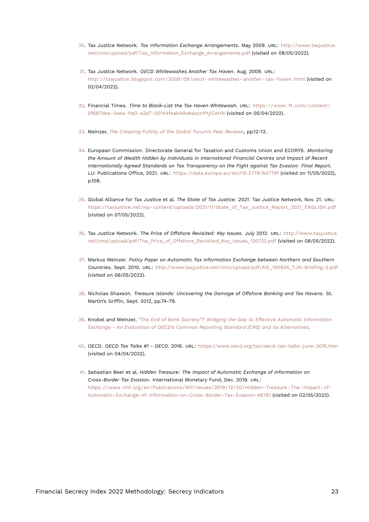- <span id="page-22-12"></span><span id="page-22-0"></span>[30.](#page-8-1) Tax Justice Network. *Tax Information Exchange Arrangements*. May 2009. URL: [http://www.taxjustice.](http://www.taxjustice.net/cms/upload/pdf/Tax_Information_Exchange_Arrangements.pdf) [net/cms/upload/pdf/Tax\\_Information\\_Exchange\\_Arrangements.pdf](http://www.taxjustice.net/cms/upload/pdf/Tax_Information_Exchange_Arrangements.pdf) (visited on 08/05/2022).
- <span id="page-22-1"></span>[31.](#page-8-2) Tax Justice Network. *OECD Whitewashes Another Tax Haven*. Aug. 2009. URL: [http://taxjustice.blogspot.com/2009/08/oecd- whitewashes- another- tax- haven.html](http://taxjustice.blogspot.com/2009/08/oecd-whitewashes-another-tax-haven.html) (visited on 02/04/2022).
- <span id="page-22-2"></span>[32.](#page-8-3) Financial Times. *Time to Black-List the Tax Haven Whitewash*. URL: [https://www.ft.com/content/](https://www.ft.com/content/0f687dee-5eea-11e0-a2d7-00144feab49a#axzz1PtjiCeHN) [0f687dee-5eea-11e0-a2d7-00144feab49a#axzz1PtjiCeHN](https://www.ft.com/content/0f687dee-5eea-11e0-a2d7-00144feab49a#axzz1PtjiCeHN) (visited on 05/04/2022).
- <span id="page-22-3"></span>[33.](#page-8-4) Meinzer, *[The Creeping Futility of the Global Forum's Peer Reviews](#page-21-12)*, pp.12-13.
- <span id="page-22-4"></span>[34.](#page-8-5) European Commission. Directorate General for Taxation and Customs Union and ECORYS. *Monitoring the Amount of Wealth Hidden by Individuals in International Financial Centres and Impact of Recent Internationally Agreed Standards on Tax Transparency on the Fight against Tax Evasion: Final Report*. LU: Publications Office, 2021. URL: <https://data.europa.eu/doi/10.2778/647791> (visited on 11/05/2022), p.108.
- <span id="page-22-5"></span>[35.](#page-8-6) Global Alliance for Tax Justice et al. *The State of Tax Justice: 2021*. Tax Justice Network, Nov. 21. URL: [https://taxjustice.net/wp-content/uploads/2021/11/State\\_of\\_Tax\\_Justice\\_Report\\_2021\\_ENGLISH.pdf](https://taxjustice.net/wp-content/uploads/2021/11/State_of_Tax_Justice_Report_2021_ENGLISH.pdf) (visited on 07/05/2022).
- <span id="page-22-6"></span>[36.](#page-8-7) Tax Justice Network. *The Price of Offshore Revisited: Key Issues*. July 2012. URL: [http://www.taxjustice.](http://www.taxjustice.net/cms/upload/pdf/The_Price_of_Offshore_Revisited_Key_Issues_120722.pdf) [net/cms/upload/pdf/The\\_Price\\_of\\_Offshore\\_Revisited\\_Key\\_Issues\\_120722.pdf](http://www.taxjustice.net/cms/upload/pdf/The_Price_of_Offshore_Revisited_Key_Issues_120722.pdf) (visited on 08/05/2022).
- <span id="page-22-7"></span>[37.](#page-8-8) Markus Meinzer. *Policy Paper on Automatic Tax Information Exchange between Northern and Southern Countries*. Sept. 2010. URL: [http://www.taxjustice.net/cms/upload/pdf/AIE\\_100926\\_TJN-Briefing-2.pdf](http://www.taxjustice.net/cms/upload/pdf/AIE_100926_TJN-Briefing-2.pdf) (visited on 06/05/2022).
- <span id="page-22-8"></span>[38.](#page-8-9) Nicholas Shaxson. *Treasure Islands: Uncovering the Damage of Offshore Banking and Tax Havens*. St. Martin's Griffin, Sept. 2012, pp.74-79.
- <span id="page-22-9"></span>[39.](#page-9-0) Knobel and Meinzer, *["The End of Bank Secrecy"? Bridging the Gap to Effective Automatic Information](#page-19-12) [Exchange - An Evaluation of OECD's Common Reporting Standard \(CRS\) and Its Alternatives](#page-19-12)*.
- <span id="page-22-10"></span>[40.](#page-9-1) OECD. *OECD Tax Talks #1 - OECD*. 2016. URL: <https://www.oecd.org/tax/oecd-tax-talks-june-2016.htm> (visited on 04/04/2022).
- <span id="page-22-11"></span>[41.](#page-10-0) Sebastian Beer et al. *Hidden Treasure: The Impact of Automatic Exchange of Information on Cross-Border Tax Evasion*. International Monetary Fund, Dec. 2019. URL: [https://www.imf.org/en/Publications/WP/Issues/2019/12/20/Hidden- Treasure- The- Impact- of-](https://www.imf.org/en/Publications/WP/Issues/2019/12/20/Hidden-Treasure-The-Impact-of-Automatic-Exchange-of-Information-on-Cross-Border-Tax-Evasion-48781)[Automatic-Exchange-of-Information-on-Cross-Border-Tax-Evasion-48781](https://www.imf.org/en/Publications/WP/Issues/2019/12/20/Hidden-Treasure-The-Impact-of-Automatic-Exchange-of-Information-on-Cross-Border-Tax-Evasion-48781) (visited on 02/05/2022).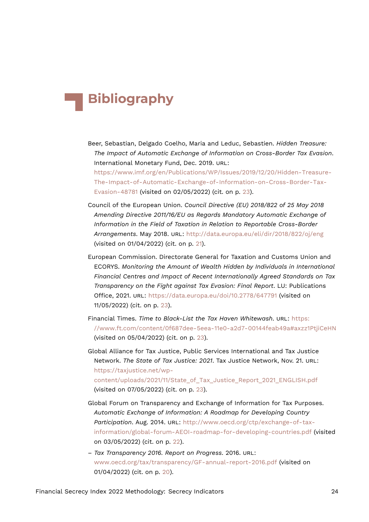## **Bibliography**

- Beer, Sebastian, Delgado Coelho, Maria and Leduc, Sebastien. *Hidden Treasure: The Impact of Automatic Exchange of Information on Cross-Border Tax Evasion*. International Monetary Fund, Dec. 2019. URL: [https://www.imf.org/en/Publications/WP/Issues/2019/12/20/Hidden-Treasure-](https://www.imf.org/en/Publications/WP/Issues/2019/12/20/Hidden-Treasure-The-Impact-of-Automatic-Exchange-of-Information-on-Cross-Border-Tax-Evasion-48781)[The-Impact-of-Automatic-Exchange-of-Information-on-Cross-Border-Tax-](https://www.imf.org/en/Publications/WP/Issues/2019/12/20/Hidden-Treasure-The-Impact-of-Automatic-Exchange-of-Information-on-Cross-Border-Tax-Evasion-48781)
	- [Evasion-48781](https://www.imf.org/en/Publications/WP/Issues/2019/12/20/Hidden-Treasure-The-Impact-of-Automatic-Exchange-of-Information-on-Cross-Border-Tax-Evasion-48781) (visited on 02/05/2022) (cit. on p. [23](#page-22-12)).
- Council of the European Union. *Council Directive (EU) 2018/822 of 25 May 2018 Amending Directive 2011/16/EU as Regards Mandatory Automatic Exchange of Information in the Field of Taxation in Relation to Reportable Cross-Border Arrangements*. May 2018. URL: <http://data.europa.eu/eli/dir/2018/822/oj/eng> (visited on 01/04/2022) (cit. on p. [21\)](#page-20-7).
- European Commission. Directorate General for Taxation and Customs Union and ECORYS. *Monitoring the Amount of Wealth Hidden by Individuals in International Financial Centres and Impact of Recent Internationally Agreed Standards on Tax Transparency on the Fight against Tax Evasion: Final Report*. LU: Publications Office, 2021. URL: <https://data.europa.eu/doi/10.2778/647791> (visited on 11/05/2022) (cit. on p. [23](#page-22-12)).
- Financial Times. *Time to Black-List the Tax Haven Whitewash*. URL: [https:](https://www.ft.com/content/0f687dee-5eea-11e0-a2d7-00144feab49a#axzz1PtjiCeHN) [//www.ft.com/content/0f687dee-5eea-11e0-a2d7-00144feab49a#axzz1PtjiCeHN](https://www.ft.com/content/0f687dee-5eea-11e0-a2d7-00144feab49a#axzz1PtjiCeHN) (visited on 05/04/2022) (cit. on p. [23](#page-22-12)).

Global Alliance for Tax Justice, Public Services International and Tax Justice Network. *The State of Tax Justice: 2021*. Tax Justice Network, Nov. 21. URL: [https://taxjustice.net/wp](https://taxjustice.net/wp-content/uploads/2021/11/State_of_Tax_Justice_Report_2021_ENGLISH.pdf)[content/uploads/2021/11/State\\_of\\_Tax\\_Justice\\_Report\\_2021\\_ENGLISH.pdf](https://taxjustice.net/wp-content/uploads/2021/11/State_of_Tax_Justice_Report_2021_ENGLISH.pdf) (visited on 07/05/2022) (cit. on p. [23](#page-22-12)).

- Global Forum on Transparency and Exchange of Information for Tax Purposes. *Automatic Exchange of Information: A Roadmap for Developing Country Participation*. Aug. 2014. URL: [http://www.oecd.org/ctp/exchange-of-tax](http://www.oecd.org/ctp/exchange-of-tax-information/global-forum-AEOI-roadmap-for-developing-countries.pdf)[information/global-forum-AEOI-roadmap-for-developing-countries.pdf](http://www.oecd.org/ctp/exchange-of-tax-information/global-forum-AEOI-roadmap-for-developing-countries.pdf) (visited on 03/05/2022) (cit. on p. [22\)](#page-21-13).
- *Tax Transparency 2016. Report on Progress*. 2016. URL: <www.oecd.org/tax/transparency/GF-annual-report-2016.pdf> (visited on 01/04/2022) (cit. on p. [20](#page-19-13)).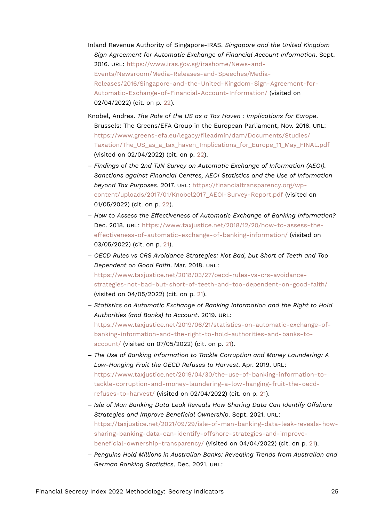- Inland Revenue Authority of Singapore-IRAS. *Singapore and the United Kingdom Sign Agreement for Automatic Exchange of Financial Account Information*. Sept. 2016. URL: [https://www.iras.gov.sg/irashome/News-and-](https://www.iras.gov.sg/irashome/News-and-Events/Newsroom/Media-Releases-and-Speeches/Media-Releases/2016/Singapore-and-the-United-Kingdom-Sign-Agreement-for-Automatic-Exchange-of-Financial-Account-Information/)[Events/Newsroom/Media-Releases-and-Speeches/Media-](https://www.iras.gov.sg/irashome/News-and-Events/Newsroom/Media-Releases-and-Speeches/Media-Releases/2016/Singapore-and-the-United-Kingdom-Sign-Agreement-for-Automatic-Exchange-of-Financial-Account-Information/)[Releases/2016/Singapore-and-the-United-Kingdom-Sign-Agreement-for-](https://www.iras.gov.sg/irashome/News-and-Events/Newsroom/Media-Releases-and-Speeches/Media-Releases/2016/Singapore-and-the-United-Kingdom-Sign-Agreement-for-Automatic-Exchange-of-Financial-Account-Information/)[Automatic-Exchange-of-Financial-Account-Information/](https://www.iras.gov.sg/irashome/News-and-Events/Newsroom/Media-Releases-and-Speeches/Media-Releases/2016/Singapore-and-the-United-Kingdom-Sign-Agreement-for-Automatic-Exchange-of-Financial-Account-Information/) (visited on 02/04/2022) (cit. on p. [22\)](#page-21-13).
- Knobel, Andres. *The Role of the US as a Tax Haven : Implications for Europe*. Brussels: The Greens/EFA Group in the European Parliament, Nov. 2016. URL: [https://www.greens-efa.eu/legacy/fileadmin/dam/Documents/Studies/](https://www.greens-efa.eu/legacy/fileadmin/dam/Documents/Studies/Taxation/The_US_as_a_tax_haven_Implications_for_Europe_11_May_FINAL.pdf) [Taxation/The\\_US\\_as\\_a\\_tax\\_haven\\_Implications\\_for\\_Europe\\_11\\_May\\_FINAL.pdf](https://www.greens-efa.eu/legacy/fileadmin/dam/Documents/Studies/Taxation/The_US_as_a_tax_haven_Implications_for_Europe_11_May_FINAL.pdf) (visited on 02/04/2022) (cit. on p. [22](#page-21-13)).
- *Findings of the 2nd TJN Survey on Automatic Exchange of Information (AEOI). Sanctions against Financial Centres, AEOI Statistics and the Use of Information beyond Tax Purposes*. 2017. URL: [https://financialtransparency.org/wp](https://financialtransparency.org/wp-content/uploads/2017/01/Knobel2017_AEOI-Survey-Report.pdf)[content/uploads/2017/01/Knobel2017\\_AEOI-Survey-Report.pdf](https://financialtransparency.org/wp-content/uploads/2017/01/Knobel2017_AEOI-Survey-Report.pdf) (visited on 01/05/2022) (cit. on p. [22](#page-21-13)).
- *How to Assess the Effectiveness of Automatic Exchange of Banking Information?* Dec. 2018. URL: [https://www.taxjustice.net/2018/12/20/how-to-assess-the](https://www.taxjustice.net/2018/12/20/how-to-assess-the-effectiveness-of-automatic-exchange-of-banking-information/)[effectiveness-of-automatic-exchange-of-banking-information/](https://www.taxjustice.net/2018/12/20/how-to-assess-the-effectiveness-of-automatic-exchange-of-banking-information/) (visited on 03/05/2022) (cit. on p. [21](#page-20-7)).
- *OECD Rules vs CRS Avoidance Strategies: Not Bad, but Short of Teeth and Too Dependent on Good Faith*. Mar. 2018. URL: [https://www.taxjustice.net/2018/03/27/oecd-rules-vs-crs-avoidance](https://www.taxjustice.net/2018/03/27/oecd-rules-vs-crs-avoidance-strategies-not-bad-but-short-of-teeth-and-too-dependent-on-good-faith/)[strategies-not-bad-but-short-of-teeth-and-too-dependent-on-good-faith/](https://www.taxjustice.net/2018/03/27/oecd-rules-vs-crs-avoidance-strategies-not-bad-but-short-of-teeth-and-too-dependent-on-good-faith/) (visited on 04/05/2022) (cit. on p. [21\)](#page-20-7).
- *Statistics on Automatic Exchange of Banking Information and the Right to Hold Authorities (and Banks) to Account*. 2019. URL: [https://www.taxjustice.net/2019/06/21/statistics-on-automatic-exchange-of](https://www.taxjustice.net/2019/06/21/statistics-on-automatic-exchange-of-banking-information-and-the-right-to-hold-authorities-and-banks-to-account/)[banking-information-and-the-right-to-hold-authorities-and-banks-to](https://www.taxjustice.net/2019/06/21/statistics-on-automatic-exchange-of-banking-information-and-the-right-to-hold-authorities-and-banks-to-account/)[account/](https://www.taxjustice.net/2019/06/21/statistics-on-automatic-exchange-of-banking-information-and-the-right-to-hold-authorities-and-banks-to-account/) (visited on 07/05/2022) (cit. on p. [21](#page-20-7)).
- *The Use of Banking Information to Tackle Corruption and Money Laundering: A Low-Hanging Fruit the OECD Refuses to Harvest*. Apr. 2019. URL: [https://www.taxjustice.net/2019/04/30/the-use-of-banking-information-to](https://www.taxjustice.net/2019/04/30/the-use-of-banking-information-to-tackle-corruption-and-money-laundering-a-low-hanging-fruit-the-oecd-refuses-to-harvest/)[tackle-corruption-and-money-laundering-a-low-hanging-fruit-the-oecd](https://www.taxjustice.net/2019/04/30/the-use-of-banking-information-to-tackle-corruption-and-money-laundering-a-low-hanging-fruit-the-oecd-refuses-to-harvest/)[refuses-to-harvest/](https://www.taxjustice.net/2019/04/30/the-use-of-banking-information-to-tackle-corruption-and-money-laundering-a-low-hanging-fruit-the-oecd-refuses-to-harvest/) (visited on 02/04/2022) (cit. on p. [21\)](#page-20-7).
- *Isle of Man Banking Data Leak Reveals How Sharing Data Can Identify Offshore Strategies and Improve Beneficial Ownership*. Sept. 2021. URL: [https://taxjustice.net/2021/09/29/isle-of-man-banking-data-leak-reveals-how](https://taxjustice.net/2021/09/29/isle-of-man-banking-data-leak-reveals-how-sharing-banking-data-can-identify-offshore-strategies-and-improve-beneficial-ownership-transparency/)[sharing-banking-data-can-identify-offshore-strategies-and-improve](https://taxjustice.net/2021/09/29/isle-of-man-banking-data-leak-reveals-how-sharing-banking-data-can-identify-offshore-strategies-and-improve-beneficial-ownership-transparency/)[beneficial-ownership-transparency/](https://taxjustice.net/2021/09/29/isle-of-man-banking-data-leak-reveals-how-sharing-banking-data-can-identify-offshore-strategies-and-improve-beneficial-ownership-transparency/) (visited on 04/04/2022) (cit. on p. [21\)](#page-20-7).
- *Penguins Hold Millions in Australian Banks: Revealing Trends from Australian and German Banking Statistics*. Dec. 2021. URL: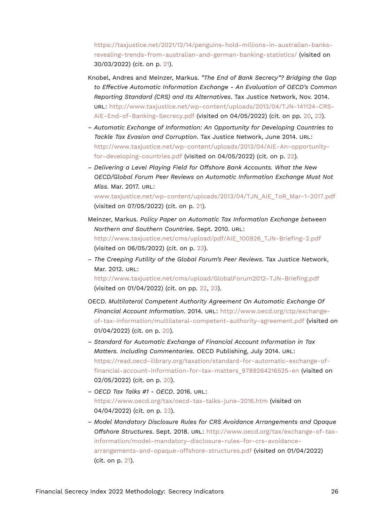[https://taxjustice.net/2021/12/14/penguins-hold-millions-in-australian-banks](https://taxjustice.net/2021/12/14/penguins-hold-millions-in-australian-banks-revealing-trends-from-australian-and-german-banking-statistics/)[revealing-trends-from-australian-and-german-banking-statistics/](https://taxjustice.net/2021/12/14/penguins-hold-millions-in-australian-banks-revealing-trends-from-australian-and-german-banking-statistics/) (visited on 30/03/2022) (cit. on p. [21](#page-20-7)).

- Knobel, Andres and Meinzer, Markus. *"The End of Bank Secrecy"? Bridging the Gap to Effective Automatic Information Exchange - An Evaluation of OECD's Common Reporting Standard (CRS) and Its Alternatives*. Tax Justice Network, Nov. 2014. URL: [http://www.taxjustice.net/wp-content/uploads/2013/04/TJN-141124-CRS-](http://www.taxjustice.net/wp-content/uploads/2013/04/TJN-141124-CRS-AIE-End-of-Banking-Secrecy.pdf)[AIE-End-of-Banking-Secrecy.pdf](http://www.taxjustice.net/wp-content/uploads/2013/04/TJN-141124-CRS-AIE-End-of-Banking-Secrecy.pdf) (visited on 04/05/2022) (cit. on pp. [20,](#page-19-13) [23](#page-22-12)).
- *Automatic Exchange of Information: An Opportunity for Developing Countries to Tackle Tax Evasion and Corruption*. Tax Justice Network, June 2014. URL: [http://www.taxjustice.net/wp-content/uploads/2013/04/AIE-An-opportunity](http://www.taxjustice.net/wp-content/uploads/2013/04/AIE-An-opportunity-for-developing-countries.pdf)[for-developing-countries.pdf](http://www.taxjustice.net/wp-content/uploads/2013/04/AIE-An-opportunity-for-developing-countries.pdf) (visited on 04/05/2022) (cit. on p. [22](#page-21-13)).
- *Delivering a Level Playing Field for Offshore Bank Accounts. What the New OECD/Global Forum Peer Reviews on Automatic Information Exchange Must Not Miss*. Mar. 2017. URL: [www.taxjustice.net/wp-content/uploads/2013/04/TJN\\_AIE\\_ToR\\_Mar-1-2017.pdf](www.taxjustice.net/wp-content/uploads/2013/04/TJN_AIE_ToR_Mar-1-2017.pdf) (visited on 07/05/2022) (cit. on p. [21](#page-20-7)).
- Meinzer, Markus. *Policy Paper on Automatic Tax Information Exchange between Northern and Southern Countries*. Sept. 2010. URL: [http://www.taxjustice.net/cms/upload/pdf/AIE\\_100926\\_TJN-Briefing-2.pdf](http://www.taxjustice.net/cms/upload/pdf/AIE_100926_TJN-Briefing-2.pdf) (visited on 06/05/2022) (cit. on p. [23](#page-22-12)).
- *The Creeping Futility of the Global Forum's Peer Reviews*. Tax Justice Network, Mar. 2012. URL:

<http://www.taxjustice.net/cms/upload/GlobalForum2012-TJN-Briefing.pdf> (visited on 01/04/2022) (cit. on pp. [22,](#page-21-13) [23](#page-22-12)).

- OECD. *Multilateral Competent Authority Agreement On Automatic Exchange Of Financial Account Information*. 2014. URL: [http://www.oecd.org/ctp/exchange](http://www.oecd.org/ctp/exchange-of-tax-information/multilateral-competent-authority-agreement.pdf)[of-tax-information/multilateral-competent-authority-agreement.pdf](http://www.oecd.org/ctp/exchange-of-tax-information/multilateral-competent-authority-agreement.pdf) (visited on 01/04/2022) (cit. on p. [20](#page-19-13)).
- *Standard for Automatic Exchange of Financial Account Information in Tax Matters. Including Commentaries.* OECD Publishing, July 2014. URL: [https://read.oecd-ilibrary.org/taxation/standard-for-automatic-exchange-of](https://read.oecd-ilibrary.org/taxation/standard-for-automatic-exchange-of-financial-account-information-for-tax-matters_9789264216525-en)[financial-account-information-for-tax-matters\\_9789264216525-en](https://read.oecd-ilibrary.org/taxation/standard-for-automatic-exchange-of-financial-account-information-for-tax-matters_9789264216525-en) (visited on 02/05/2022) (cit. on p. [20\)](#page-19-13).
- *OECD Tax Talks #1 OECD*. 2016. URL: <https://www.oecd.org/tax/oecd-tax-talks-june-2016.htm> (visited on 04/04/2022) (cit. on p. [23\)](#page-22-12).
- *Model Mandatory Disclosure Rules for CRS Avoidance Arrangements and Opaque Offshore Structures*. Sept. 2018. URL: [http://www.oecd.org/tax/exchange-of-tax](http://www.oecd.org/tax/exchange-of-tax-information/model-mandatory-disclosure-rules-for-crs-avoidance-arrangements-and-opaque-offshore-structures.pdf)[information/model-mandatory-disclosure-rules-for-crs-avoidance](http://www.oecd.org/tax/exchange-of-tax-information/model-mandatory-disclosure-rules-for-crs-avoidance-arrangements-and-opaque-offshore-structures.pdf)[arrangements-and-opaque-offshore-structures.pdf](http://www.oecd.org/tax/exchange-of-tax-information/model-mandatory-disclosure-rules-for-crs-avoidance-arrangements-and-opaque-offshore-structures.pdf) (visited on 01/04/2022) (cit. on p. [21](#page-20-7)).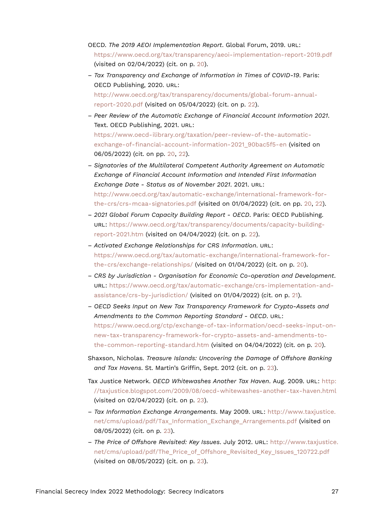- OECD. *The 2019 AEOI Implementation Report*. Global Forum, 2019. URL: <https://www.oecd.org/tax/transparency/aeoi-implementation-report-2019.pdf> (visited on 02/04/2022) (cit. on p. [20\)](#page-19-13).
- *Tax Transparency and Exchange of Information in Times of COVID-19*. Paris: OECD Publishing, 2020. URL: [http://www.oecd.org/tax/transparency/documents/global-forum-annual](http://www.oecd.org/tax/transparency/documents/global-forum-annual-report-2020.pdf)[report-2020.pdf](http://www.oecd.org/tax/transparency/documents/global-forum-annual-report-2020.pdf) (visited on 05/04/2022) (cit. on p. [22\)](#page-21-13).
- *Peer Review of the Automatic Exchange of Financial Account Information 2021*. Text. OECD Publishing, 2021. URL: [https://www.oecd-ilibrary.org/taxation/peer-review-of-the-automatic](https://www.oecd-ilibrary.org/taxation/peer-review-of-the-automatic-exchange-of-financial-account-information-2021_90bac5f5-en)[exchange-of-financial-account-information-2021\\_90bac5f5-en](https://www.oecd-ilibrary.org/taxation/peer-review-of-the-automatic-exchange-of-financial-account-information-2021_90bac5f5-en) (visited on 06/05/2022) (cit. on pp. [20](#page-19-13), [22\)](#page-21-13).
- *Signatories of the Multilateral Competent Authority Agreement on Automatic Exchange of Financial Account Information and Intended First Information Exchange Date - Status as of November 2021*. 2021. URL: [http://www.oecd.org/tax/automatic-exchange/international-framework-for](http://www.oecd.org/tax/automatic-exchange/international-framework-for-the-crs/crs-mcaa-signatories.pdf)[the-crs/crs-mcaa-signatories.pdf](http://www.oecd.org/tax/automatic-exchange/international-framework-for-the-crs/crs-mcaa-signatories.pdf) (visited on 01/04/2022) (cit. on pp. [20,](#page-19-13) [22\)](#page-21-13).
- *2021 Global Forum Capacity Building Report OECD*. Paris: OECD Publishing. URL: [https://www.oecd.org/tax/transparency/documents/capacity-building](https://www.oecd.org/tax/transparency/documents/capacity-building-report-2021.htm)[report-2021.htm](https://www.oecd.org/tax/transparency/documents/capacity-building-report-2021.htm) (visited on 04/04/2022) (cit. on p. [22](#page-21-13)).
- *Activated Exchange Relationships for CRS Information*. URL: [https://www.oecd.org/tax/automatic-exchange/international-framework-for](https://www.oecd.org/tax/automatic-exchange/international-framework-for-the-crs/exchange-relationships/)[the-crs/exchange-relationships/](https://www.oecd.org/tax/automatic-exchange/international-framework-for-the-crs/exchange-relationships/) (visited on 01/04/2022) (cit. on p. [20\)](#page-19-13).
- *CRS by Jurisdiction Organisation for Economic Co-operation and Development*. URL: [https://www.oecd.org/tax/automatic-exchange/crs-implementation-and](https://www.oecd.org/tax/automatic-exchange/crs-implementation-and-assistance/crs-by-jurisdiction/)[assistance/crs-by-jurisdiction/](https://www.oecd.org/tax/automatic-exchange/crs-implementation-and-assistance/crs-by-jurisdiction/) (visited on 01/04/2022) (cit. on p. [21\)](#page-20-7).
- *OECD Seeks Input on New Tax Transparency Framework for Crypto-Assets and Amendments to the Common Reporting Standard - OECD*. URL: [https://www.oecd.org/ctp/exchange-of-tax-information/oecd-seeks-input-on](https://www.oecd.org/ctp/exchange-of-tax-information/oecd-seeks-input-on-new-tax-transparency-framework-for-crypto-assets-and-amendments-to-the-common-reporting-standard.htm)[new-tax-transparency-framework-for-crypto-assets-and-amendments-to](https://www.oecd.org/ctp/exchange-of-tax-information/oecd-seeks-input-on-new-tax-transparency-framework-for-crypto-assets-and-amendments-to-the-common-reporting-standard.htm)[the-common-reporting-standard.htm](https://www.oecd.org/ctp/exchange-of-tax-information/oecd-seeks-input-on-new-tax-transparency-framework-for-crypto-assets-and-amendments-to-the-common-reporting-standard.htm) (visited on 04/04/2022) (cit. on p. [20](#page-19-13)).
- Shaxson, Nicholas. *Treasure Islands: Uncovering the Damage of Offshore Banking and Tax Havens*. St. Martin's Griffin, Sept. 2012 (cit. on p. [23\)](#page-22-12).
- Tax Justice Network. *OECD Whitewashes Another Tax Haven*. Aug. 2009. URL: [http:](http://taxjustice.blogspot.com/2009/08/oecd-whitewashes-another-tax-haven.html) [//taxjustice.blogspot.com/2009/08/oecd-whitewashes-another-tax-haven.html](http://taxjustice.blogspot.com/2009/08/oecd-whitewashes-another-tax-haven.html) (visited on 02/04/2022) (cit. on p. [23](#page-22-12)).
- *Tax Information Exchange Arrangements*. May 2009. URL: [http://www.taxjustice.](http://www.taxjustice.net/cms/upload/pdf/Tax_Information_Exchange_Arrangements.pdf) [net/cms/upload/pdf/Tax\\_Information\\_Exchange\\_Arrangements.pdf](http://www.taxjustice.net/cms/upload/pdf/Tax_Information_Exchange_Arrangements.pdf) (visited on 08/05/2022) (cit. on p. [23\)](#page-22-12).
- *The Price of Offshore Revisited: Key Issues*. July 2012. URL: [http://www.taxjustice.](http://www.taxjustice.net/cms/upload/pdf/The_Price_of_Offshore_Revisited_Key_Issues_120722.pdf) [net/cms/upload/pdf/The\\_Price\\_of\\_Offshore\\_Revisited\\_Key\\_Issues\\_120722.pdf](http://www.taxjustice.net/cms/upload/pdf/The_Price_of_Offshore_Revisited_Key_Issues_120722.pdf) (visited on 08/05/2022) (cit. on p. [23\)](#page-22-12).